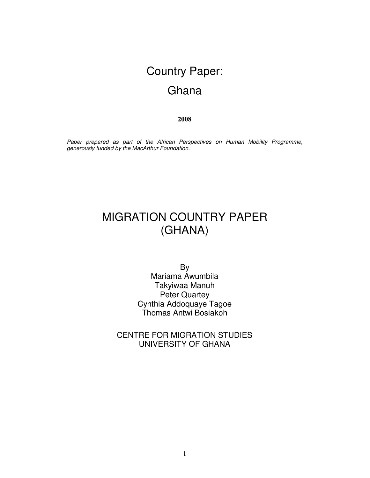# Country Paper: **Ghana**

**2008**

*Paper prepared as part of the African Perspectives on Human Mobility Programme, generously funded by the MacArthur Foundation.*

# MIGRATION COUNTRY PAPER (GHANA)

By Mariama Awumbila Takyiwaa Manuh Peter Quartey Cynthia Addoquaye Tagoe Thomas Antwi Bosiakoh

CENTRE FOR MIGRATION STUDIES UNIVERSITY OF GHANA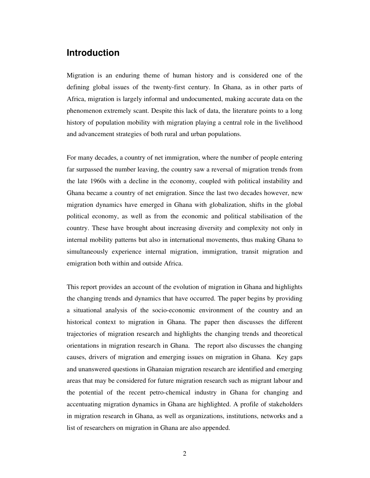## **Introduction**

Migration is an enduring theme of human history and is considered one of the defining global issues of the twenty-first century. In Ghana, as in other parts of Africa, migration is largely informal and undocumented, making accurate data on the phenomenon extremely scant. Despite this lack of data, the literature points to a long history of population mobility with migration playing a central role in the livelihood and advancement strategies of both rural and urban populations.

For many decades, a country of net immigration, where the number of people entering far surpassed the number leaving, the country saw a reversal of migration trends from the late 1960s with a decline in the economy, coupled with political instability and Ghana became a country of net emigration. Since the last two decades however, new migration dynamics have emerged in Ghana with globalization, shifts in the global political economy, as well as from the economic and political stabilisation of the country. These have brought about increasing diversity and complexity not only in internal mobility patterns but also in international movements, thus making Ghana to simultaneously experience internal migration, immigration, transit migration and emigration both within and outside Africa.

This report provides an account of the evolution of migration in Ghana and highlights the changing trends and dynamics that have occurred. The paper begins by providing a situational analysis of the socio-economic environment of the country and an historical context to migration in Ghana. The paper then discusses the different trajectories of migration research and highlights the changing trends and theoretical orientations in migration research in Ghana. The report also discusses the changing causes, drivers of migration and emerging issues on migration in Ghana. Key gaps and unanswered questions in Ghanaian migration research are identified and emerging areas that may be considered for future migration research such as migrant labour and the potential of the recent petro-chemical industry in Ghana for changing and accentuating migration dynamics in Ghana are highlighted. A profile of stakeholders in migration research in Ghana, as well as organizations, institutions, networks and a list of researchers on migration in Ghana are also appended.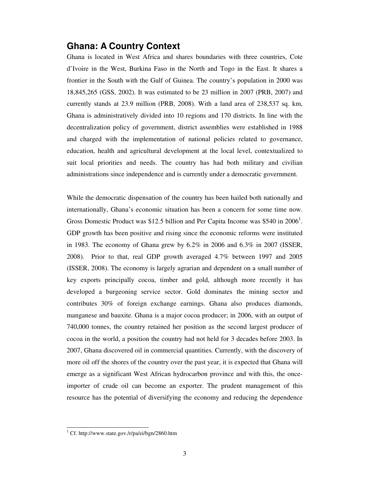### **Ghana: A Country Context**

Ghana is located in West Africa and shares boundaries with three countries, Cote d'Ivoire in the West, Burkina Faso in the North and Togo in the East. It shares a frontier in the South with the Gulf of Guinea. The country's population in 2000 was 18,845,265 (GSS, 2002). It was estimated to be 23 million in 2007 (PRB, 2007) and currently stands at 23.9 million (PRB, 2008). With a land area of 238,537 sq. km, Ghana is administratively divided into 10 regions and 170 districts. In line with the decentralization policy of government, district assemblies were established in 1988 and charged with the implementation of national policies related to governance, education, health and agricultural development at the local level, contextualized to suit local priorities and needs. The country has had both military and civilian administrations since independence and is currently under a democratic government.

While the democratic dispensation of the country has been hailed both nationally and internationally, Ghana's economic situation has been a concern for some time now. Gross Domestic Product was \$12.5 billion and Per Capita Income was \$540 in 2006<sup>1</sup>. GDP growth has been positive and rising since the economic reforms were instituted in 1983. The economy of Ghana grew by 6.2% in 2006 and 6.3% in 2007 (ISSER, 2008). Prior to that, real GDP growth averaged 4.7% between 1997 and 2005 (ISSER, 2008). The economy is largely agrarian and dependent on a small number of key exports principally cocoa, timber and gold, although more recently it has developed a burgeoning service sector. Gold dominates the mining sector and contributes 30% of foreign exchange earnings. Ghana also produces diamonds, manganese and bauxite. Ghana is a major cocoa producer; in 2006, with an output of 740,000 tonnes, the country retained her position as the second largest producer of cocoa in the world, a position the country had not held for 3 decades before 2003. In 2007, Ghana discovered oil in commercial quantities. Currently, with the discovery of more oil off the shores of the country over the past year, it is expected that Ghana will emerge as a significant West African hydrocarbon province and with this, the onceimporter of crude oil can become an exporter. The prudent management of this resource has the potential of diversifying the economy and reducing the dependence

<sup>&</sup>lt;sup>1</sup> Cf. http://www.state.gov./r/pa/ei/bgn/2860.htm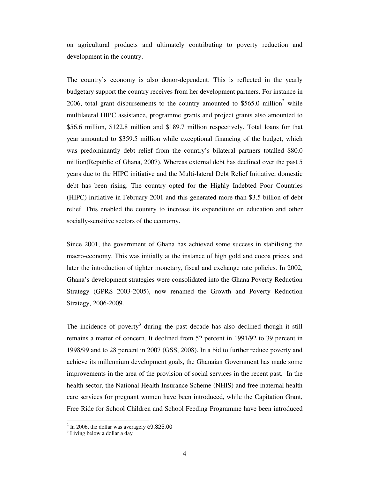on agricultural products and ultimately contributing to poverty reduction and development in the country.

The country's economy is also donor-dependent. This is reflected in the yearly budgetary support the country receives from her development partners. For instance in 2006, total grant disbursements to the country amounted to \$565.0 million<sup>2</sup> while multilateral HIPC assistance, programme grants and project grants also amounted to \$56.6 million, \$122.8 million and \$189.7 million respectively. Total loans for that year amounted to \$359.5 million while exceptional financing of the budget, which was predominantly debt relief from the country's bilateral partners totalled \$80.0 million(Republic of Ghana, 2007). Whereas external debt has declined over the past 5 years due to the HIPC initiative and the Multi-lateral Debt Relief Initiative, domestic debt has been rising. The country opted for the Highly Indebted Poor Countries (HIPC) initiative in February 2001 and this generated more than \$3.5 billion of debt relief. This enabled the country to increase its expenditure on education and other socially-sensitive sectors of the economy.

Since 2001, the government of Ghana has achieved some success in stabilising the macro-economy. This was initially at the instance of high gold and cocoa prices, and later the introduction of tighter monetary, fiscal and exchange rate policies. In 2002, Ghana's development strategies were consolidated into the Ghana Poverty Reduction Strategy (GPRS 2003-2005), now renamed the Growth and Poverty Reduction Strategy, 2006-2009.

The incidence of poverty<sup>3</sup> during the past decade has also declined though it still remains a matter of concern. It declined from 52 percent in 1991/92 to 39 percent in 1998/99 and to 28 percent in 2007 (GSS, 2008). In a bid to further reduce poverty and achieve its millennium development goals, the Ghanaian Government has made some improvements in the area of the provision of social services in the recent past. In the health sector, the National Health Insurance Scheme (NHIS) and free maternal health care services for pregnant women have been introduced, while the Capitation Grant, Free Ride for School Children and School Feeding Programme have been introduced

 $2$  In 2006, the dollar was averagely  $\text{\textsterling}9,325.00$ 

<sup>&</sup>lt;sup>3</sup> Living below a dollar a day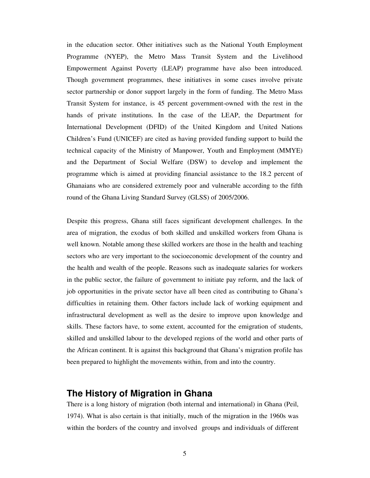in the education sector. Other initiatives such as the National Youth Employment Programme (NYEP), the Metro Mass Transit System and the Livelihood Empowerment Against Poverty (LEAP) programme have also been introduced. Though government programmes, these initiatives in some cases involve private sector partnership or donor support largely in the form of funding. The Metro Mass Transit System for instance, is 45 percent government-owned with the rest in the hands of private institutions. In the case of the LEAP, the Department for International Development (DFID) of the United Kingdom and United Nations Children's Fund (UNICEF) are cited as having provided funding support to build the technical capacity of the Ministry of Manpower, Youth and Employment (MMYE) and the Department of Social Welfare (DSW) to develop and implement the programme which is aimed at providing financial assistance to the 18.2 percent of Ghanaians who are considered extremely poor and vulnerable according to the fifth round of the Ghana Living Standard Survey (GLSS) of 2005/2006.

Despite this progress, Ghana still faces significant development challenges. In the area of migration, the exodus of both skilled and unskilled workers from Ghana is well known. Notable among these skilled workers are those in the health and teaching sectors who are very important to the socioeconomic development of the country and the health and wealth of the people. Reasons such as inadequate salaries for workers in the public sector, the failure of government to initiate pay reform, and the lack of job opportunities in the private sector have all been cited as contributing to Ghana's difficulties in retaining them. Other factors include lack of working equipment and infrastructural development as well as the desire to improve upon knowledge and skills. These factors have, to some extent, accounted for the emigration of students, skilled and unskilled labour to the developed regions of the world and other parts of the African continent. It is against this background that Ghana's migration profile has been prepared to highlight the movements within, from and into the country.

### **The History of Migration in Ghana**

There is a long history of migration (both internal and international) in Ghana (Peil, 1974). What is also certain is that initially, much of the migration in the 1960s was within the borders of the country and involved groups and individuals of different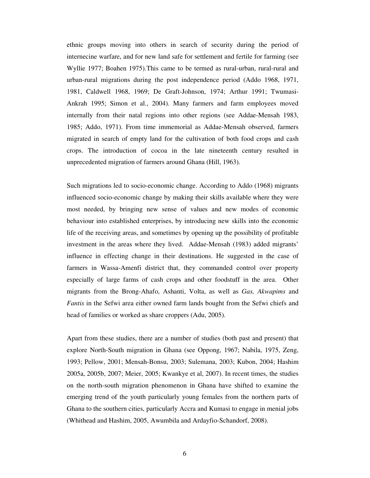ethnic groups moving into others in search of security during the period of internecine warfare, and for new land safe for settlement and fertile for farming (see Wyllie 1977; Boahen 1975).This came to be termed as rural-urban, rural-rural and urban-rural migrations during the post independence period (Addo 1968, 1971, 1981, Caldwell 1968, 1969; De Graft-Johnson, 1974; Arthur 1991; Twumasi-Ankrah 1995; Simon et al., 2004). Many farmers and farm employees moved internally from their natal regions into other regions (see Addae-Mensah 1983, 1985; Addo, 1971). From time immemorial as Addae-Mensah observed, farmers migrated in search of empty land for the cultivation of both food crops and cash crops. The introduction of cocoa in the late nineteenth century resulted in unprecedented migration of farmers around Ghana (Hill, 1963).

Such migrations led to socio-economic change. According to Addo (1968) migrants influenced socio-economic change by making their skills available where they were most needed, by bringing new sense of values and new modes of economic behaviour into established enterprises, by introducing new skills into the economic life of the receiving areas, and sometimes by opening up the possibility of profitable investment in the areas where they lived. Addae-Mensah (1983) added migrants' influence in effecting change in their destinations. He suggested in the case of farmers in Wassa-Amenfi district that, they commanded control over property especially of large farms of cash crops and other foodstuff in the area. Other migrants from the Brong-Ahafo, Ashanti, Volta, as well as *Gas, Akwapims* and *Fantis* in the Sefwi area either owned farm lands bought from the Sefwi chiefs and head of families or worked as share croppers (Adu, 2005).

Apart from these studies, there are a number of studies (both past and present) that explore North-South migration in Ghana (see Oppong, 1967; Nabila, 1975, Zeng, 1993; Pellow, 2001; Mensah-Bonsu, 2003; Sulemana, 2003; Kubon, 2004; Hashim 2005a, 2005b, 2007; Meier, 2005; Kwankye et al, 2007). In recent times, the studies on the north-south migration phenomenon in Ghana have shifted to examine the emerging trend of the youth particularly young females from the northern parts of Ghana to the southern cities, particularly Accra and Kumasi to engage in menial jobs (Whithead and Hashim, 2005, Awumbila and Ardayfio-Schandorf, 2008).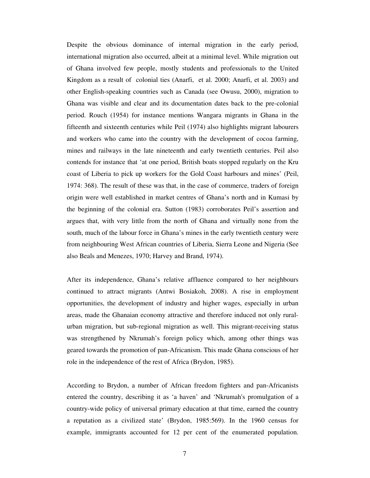Despite the obvious dominance of internal migration in the early period, international migration also occurred, albeit at a minimal level. While migration out of Ghana involved few people, mostly students and professionals to the United Kingdom as a result of colonial ties (Anarfi, et al. 2000; Anarfi, et al. 2003) and other English-speaking countries such as Canada (see Owusu, 2000), migration to Ghana was visible and clear and its documentation dates back to the pre-colonial period. Rouch (1954) for instance mentions Wangara migrants in Ghana in the fifteenth and sixteenth centuries while Peil (1974) also highlights migrant labourers and workers who came into the country with the development of cocoa farming, mines and railways in the late nineteenth and early twentieth centuries. Peil also contends for instance that 'at one period, British boats stopped regularly on the Kru coast of Liberia to pick up workers for the Gold Coast harbours and mines' (Peil, 1974: 368). The result of these was that, in the case of commerce, traders of foreign origin were well established in market centres of Ghana's north and in Kumasi by the beginning of the colonial era. Sutton (1983) corroborates Peil's assertion and argues that, with very little from the north of Ghana and virtually none from the south, much of the labour force in Ghana's mines in the early twentieth century were from neighbouring West African countries of Liberia, Sierra Leone and Nigeria (See also Beals and Menezes, 1970; Harvey and Brand, 1974).

After its independence, Ghana's relative affluence compared to her neighbours continued to attract migrants (Antwi Bosiakoh, 2008). A rise in employment opportunities, the development of industry and higher wages, especially in urban areas, made the Ghanaian economy attractive and therefore induced not only ruralurban migration, but sub-regional migration as well. This migrant-receiving status was strengthened by Nkrumah's foreign policy which, among other things was geared towards the promotion of pan-Africanism. This made Ghana conscious of her role in the independence of the rest of Africa (Brydon, 1985).

According to Brydon, a number of African freedom fighters and pan-Africanists entered the country, describing it as 'a haven' and 'Nkrumah's promulgation of a country-wide policy of universal primary education at that time, earned the country a reputation as a civilized state' (Brydon, 1985:569). In the 1960 census for example, immigrants accounted for 12 per cent of the enumerated population.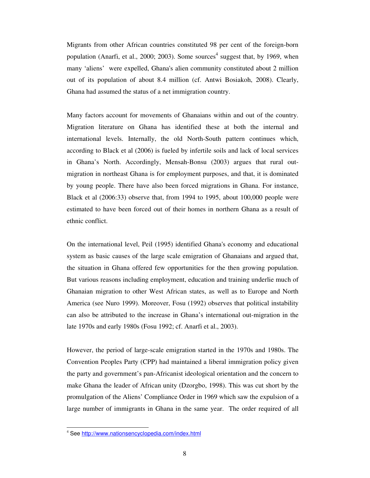Migrants from other African countries constituted 98 per cent of the foreign-born population (Anarfi, et al., 2000; 2003). Some sources<sup>4</sup> suggest that, by 1969, when many 'aliens' were expelled, Ghana's alien community constituted about 2 million out of its population of about 8.4 million (cf. Antwi Bosiakoh, 2008). Clearly, Ghana had assumed the status of a net immigration country.

Many factors account for movements of Ghanaians within and out of the country. Migration literature on Ghana has identified these at both the internal and international levels. Internally, the old North-South pattern continues which, according to Black et al (2006) is fueled by infertile soils and lack of local services in Ghana's North. Accordingly, Mensah-Bonsu (2003) argues that rural outmigration in northeast Ghana is for employment purposes, and that, it is dominated by young people. There have also been forced migrations in Ghana. For instance, Black et al (2006:33) observe that, from 1994 to 1995, about 100,000 people were estimated to have been forced out of their homes in northern Ghana as a result of ethnic conflict.

On the international level, Peil (1995) identified Ghana's economy and educational system as basic causes of the large scale emigration of Ghanaians and argued that, the situation in Ghana offered few opportunities for the then growing population. But various reasons including employment, education and training underlie much of Ghanaian migration to other West African states, as well as to Europe and North America (see Nuro 1999). Moreover, Fosu (1992) observes that political instability can also be attributed to the increase in Ghana's international out-migration in the late 1970s and early 1980s (Fosu 1992; cf. Anarfi et al., 2003).

However, the period of large-scale emigration started in the 1970s and 1980s. The Convention Peoples Party (CPP) had maintained a liberal immigration policy given the party and government's pan-Africanist ideological orientation and the concern to make Ghana the leader of African unity (Dzorgbo, 1998). This was cut short by the promulgation of the Aliens' Compliance Order in 1969 which saw the expulsion of a large number of immigrants in Ghana in the same year. The order required of all

<sup>4</sup> See http://www.nationsencyclopedia.com/index.html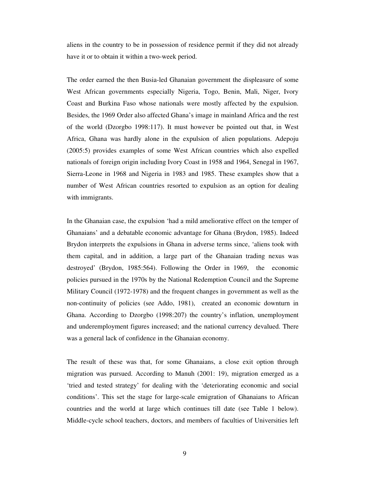aliens in the country to be in possession of residence permit if they did not already have it or to obtain it within a two-week period.

The order earned the then Busia-led Ghanaian government the displeasure of some West African governments especially Nigeria, Togo, Benin, Mali, Niger, Ivory Coast and Burkina Faso whose nationals were mostly affected by the expulsion. Besides, the 1969 Order also affected Ghana's image in mainland Africa and the rest of the world (Dzorgbo 1998:117). It must however be pointed out that, in West Africa, Ghana was hardly alone in the expulsion of alien populations. Adepoju (2005:5) provides examples of some West African countries which also expelled nationals of foreign origin including Ivory Coast in 1958 and 1964, Senegal in 1967, Sierra-Leone in 1968 and Nigeria in 1983 and 1985. These examples show that a number of West African countries resorted to expulsion as an option for dealing with immigrants.

In the Ghanaian case, the expulsion 'had a mild ameliorative effect on the temper of Ghanaians' and a debatable economic advantage for Ghana (Brydon, 1985). Indeed Brydon interprets the expulsions in Ghana in adverse terms since, 'aliens took with them capital, and in addition, a large part of the Ghanaian trading nexus was destroyed' (Brydon, 1985:564). Following the Order in 1969, the economic policies pursued in the 1970s by the National Redemption Council and the Supreme Military Council (1972-1978) and the frequent changes in government as well as the non-continuity of policies (see Addo, 1981), created an economic downturn in Ghana. According to Dzorgbo (1998:207) the country's inflation, unemployment and underemployment figures increased; and the national currency devalued. There was a general lack of confidence in the Ghanaian economy.

The result of these was that, for some Ghanaians, a close exit option through migration was pursued. According to Manuh (2001: 19), migration emerged as a 'tried and tested strategy' for dealing with the 'deteriorating economic and social conditions'. This set the stage for large-scale emigration of Ghanaians to African countries and the world at large which continues till date (see Table 1 below). Middle-cycle school teachers, doctors, and members of faculties of Universities left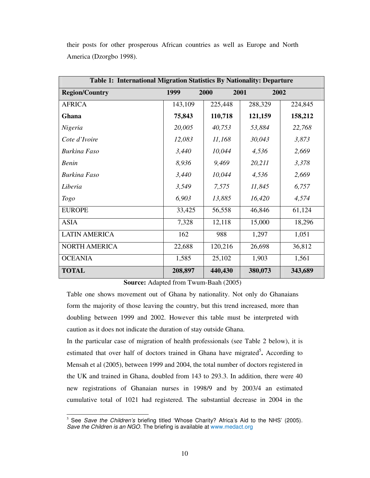their posts for other prosperous African countries as well as Europe and North America (Dzorgbo 1998).

| Table 1: International Migration Statistics By Nationality: Departure |         |         |         |         |
|-----------------------------------------------------------------------|---------|---------|---------|---------|
| <b>Region/Country</b>                                                 | 1999    | 2000    | 2001    | 2002    |
| <b>AFRICA</b>                                                         | 143,109 | 225,448 | 288,329 | 224,845 |
| Ghana                                                                 | 75,843  | 110,718 | 121,159 | 158,212 |
| Nigeria                                                               | 20,005  | 40,753  | 53,884  | 22,768  |
| Cote d'Ivoire                                                         | 12,083  | 11,168  | 30,043  | 3,873   |
| <b>Burking Faso</b>                                                   | 3,440   | 10,044  | 4,536   | 2,669   |
| <b>Benin</b>                                                          | 8,936   | 9,469   | 20,211  | 3,378   |
| Burkina Faso                                                          | 3,440   | 10,044  | 4,536   | 2,669   |
| Liberia                                                               | 3,549   | 7,575   | 11,845  | 6,757   |
| <b>Togo</b>                                                           | 6,903   | 13,885  | 16,420  | 4,574   |
| <b>EUROPE</b>                                                         | 33,425  | 56,558  | 46,846  | 61,124  |
| <b>ASIA</b>                                                           | 7,328   | 12,118  | 15,000  | 18,296  |
| <b>LATIN AMERICA</b>                                                  | 162     | 988     | 1,297   | 1,051   |
| <b>NORTH AMERICA</b>                                                  | 22,688  | 120,216 | 26,698  | 36,812  |
| <b>OCEANIA</b>                                                        | 1,585   | 25,102  | 1,903   | 1,561   |
| <b>TOTAL</b>                                                          | 208,897 | 440,430 | 380,073 | 343,689 |

**Source:** Adapted from Twum-Baah (2005)

Table one shows movement out of Ghana by nationality. Not only do Ghanaians form the majority of those leaving the country, but this trend increased, more than doubling between 1999 and 2002. However this table must be interpreted with caution as it does not indicate the duration of stay outside Ghana.

In the particular case of migration of health professionals (see Table 2 below), it is estimated that over half of doctors trained in Ghana have migrated<sup>5</sup>. According to Mensah et al (2005), between 1999 and 2004, the total number of doctors registered in the UK and trained in Ghana, doubled from 143 to 293.3. In addition, there were 40 new registrations of Ghanaian nurses in 1998/9 and by 2003/4 an estimated cumulative total of 1021 had registered. The substantial decrease in 2004 in the

<sup>5</sup> See *Save the Children's* briefing titled 'Whose Charity? Africa's Aid to the NHS' (2005). *Save the Children is an NGO.* The briefing is available at www.medact.org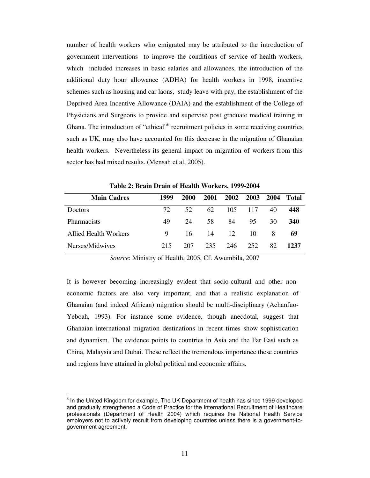number of health workers who emigrated may be attributed to the introduction of government interventions to improve the conditions of service of health workers, which included increases in basic salaries and allowances, the introduction of the additional duty hour allowance (ADHA) for health workers in 1998, incentive schemes such as housing and car laons, study leave with pay, the establishment of the Deprived Area Incentive Allowance (DAIA) and the establishment of the College of Physicians and Surgeons to provide and supervise post graduate medical training in Ghana. The introduction of "ethical"<sup>6</sup> recruitment policies in some receiving countries such as UK, may also have accounted for this decrease in the migration of Ghanaian health workers. Nevertheless its general impact on migration of workers from this sector has had mixed results. (Mensah et al, 2005).

| <b>Main Cadres</b>           | 1999 | 2000 | 2001 | 2002 | 2003 | 2004 | Total |
|------------------------------|------|------|------|------|------|------|-------|
| <b>Doctors</b>               | 72.  | 52.  | 62   | 105  | 117  | 40   | 448   |
| <b>Pharmacists</b>           | 49   | 24   | 58   | 84   | 95   | 30   | 340   |
| <b>Allied Health Workers</b> | 9    | 16   | 14   | 12   | 10   | -8   | 69    |
| Nurses/Midwives              | 215  | 207  | 235  | 246  | 252  | 82   | 1237  |

**Table 2: Brain Drain of Health Workers, 1999-2004**

*Source*: Ministry of Health, 2005, Cf. Awumbila, 2007

It is however becoming increasingly evident that socio-cultural and other noneconomic factors are also very important, and that a realistic explanation of Ghanaian (and indeed African) migration should be multi-disciplinary (Achanfuo-Yeboah, 1993). For instance some evidence, though anecdotal, suggest that Ghanaian international migration destinations in recent times show sophistication and dynamism. The evidence points to countries in Asia and the Far East such as China, Malaysia and Dubai. These reflect the tremendous importance these countries and regions have attained in global political and economic affairs.

 $<sup>6</sup>$  In the United Kingdom for example, The UK Department of health has since 1999 developed</sup> and gradually strengthened a Code of Practice for the International Recruitment of Healthcare professionals (Department of Health 2004) which requires the National Health Service employers not to actively recruit from developing countries unless there is a government-togovernment agreement.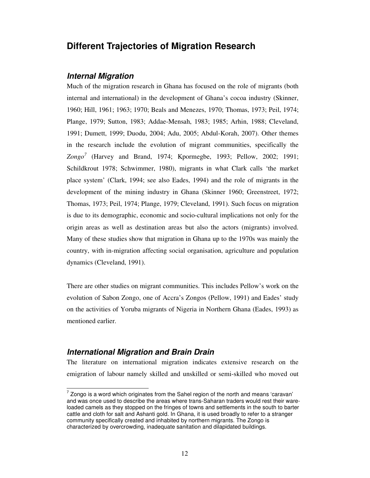### **Different Trajectories of Migration Research**

### *Internal Migration*

Much of the migration research in Ghana has focused on the role of migrants (both internal and international) in the development of Ghana's cocoa industry (Skinner, 1960; Hill, 1961; 1963; 1970; Beals and Menezes, 1970; Thomas, 1973; Peil, 1974; Plange, 1979; Sutton, 1983; Addae-Mensah, 1983; 1985; Arhin, 1988; Cleveland, 1991; Dumett, 1999; Duodu, 2004; Adu, 2005; Abdul-Korah, 2007). Other themes in the research include the evolution of migrant communities, specifically the *Zongo 7* (Harvey and Brand, 1974; Kpormegbe, 1993; Pellow, 2002; 1991; Schildkrout 1978; Schwimmer, 1980), migrants in what Clark calls 'the market place system' (Clark, 1994; see also Eades, 1994) and the role of migrants in the development of the mining industry in Ghana (Skinner 1960; Greenstreet, 1972; Thomas, 1973; Peil, 1974; Plange, 1979; Cleveland, 1991). Such focus on migration is due to its demographic, economic and socio-cultural implications not only for the origin areas as well as destination areas but also the actors (migrants) involved. Many of these studies show that migration in Ghana up to the 1970s was mainly the country, with in-migration affecting social organisation, agriculture and population dynamics (Cleveland, 1991).

There are other studies on migrant communities. This includes Pellow's work on the evolution of Sabon Zongo, one of Accra's Zongos (Pellow, 1991) and Eades' study on the activities of Yoruba migrants of Nigeria in Northern Ghana (Eades, 1993) as mentioned earlier.

### *International Migration and Brain Drain*

The literature on international migration indicates extensive research on the emigration of labour namely skilled and unskilled or semi-skilled who moved out

 $7$  Zongo is a word which originates from the Sahel region of the north and means 'caravan' and was once used to describe the areas where trans-Saharan traders would rest their wareloaded camels as they stopped on the fringes of towns and settlements in the south to barter cattle and cloth for salt and Ashanti gold. In Ghana, it is used broadly to refer to a stranger community specifically created and inhabited by northern migrants. The Zongo is characterized by overcrowding, inadequate sanitation and dilapidated buildings.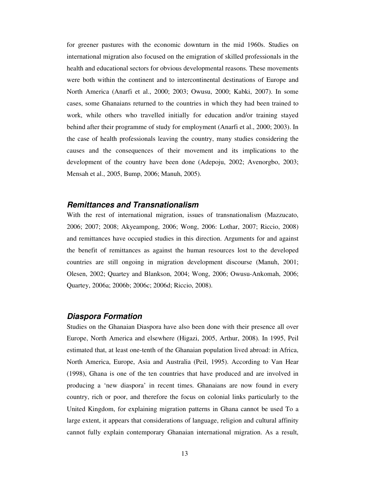for greener pastures with the economic downturn in the mid 1960s. Studies on international migration also focused on the emigration of skilled professionals in the health and educational sectors for obvious developmental reasons. These movements were both within the continent and to intercontinental destinations of Europe and North America (Anarfi et al., 2000; 2003; Owusu, 2000; Kabki, 2007). In some cases, some Ghanaians returned to the countries in which they had been trained to work, while others who travelled initially for education and/or training stayed behind after their programme of study for employment (Anarfi et al., 2000; 2003). In the case of health professionals leaving the country, many studies considering the causes and the consequences of their movement and its implications to the development of the country have been done (Adepoju, 2002; Avenorgbo, 2003; Mensah et al., 2005, Bump, 2006; Manuh, 2005).

#### *Remittances and Transnationalism*

With the rest of international migration, issues of transnationalism (Mazzucato, 2006; 2007; 2008; Akyeampong, 2006; Wong, 2006: Lothar, 2007; Riccio, 2008) and remittances have occupied studies in this direction. Arguments for and against the benefit of remittances as against the human resources lost to the developed countries are still ongoing in migration development discourse (Manuh, 2001; Olesen, 2002; Quartey and Blankson, 2004; Wong, 2006; Owusu-Ankomah, 2006; Quartey, 2006a; 2006b; 2006c; 2006d; Riccio, 2008).

#### *Diaspora Formation*

Studies on the Ghanaian Diaspora have also been done with their presence all over Europe, North America and elsewhere (Higazi, 2005, Arthur, 2008). In 1995, Peil estimated that, at least one-tenth of the Ghanaian population lived abroad: in Africa, North America, Europe, Asia and Australia (Peil, 1995). According to Van Hear (1998), Ghana is one of the ten countries that have produced and are involved in producing a 'new diaspora' in recent times. Ghanaians are now found in every country, rich or poor, and therefore the focus on colonial links particularly to the United Kingdom, for explaining migration patterns in Ghana cannot be used To a large extent, it appears that considerations of language, religion and cultural affinity cannot fully explain contemporary Ghanaian international migration. As a result,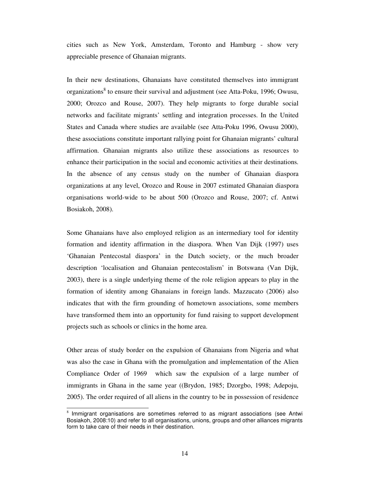cities such as New York, Amsterdam, Toronto and Hamburg - show very appreciable presence of Ghanaian migrants.

In their new destinations, Ghanaians have constituted themselves into immigrant organizations<sup>8</sup> to ensure their survival and adjustment (see Atta-Poku, 1996; Owusu, 2000; Orozco and Rouse, 2007). They help migrants to forge durable social networks and facilitate migrants' settling and integration processes. In the United States and Canada where studies are available (see Atta-Poku 1996, Owusu 2000), these associations constitute important rallying point for Ghanaian migrants' cultural affirmation. Ghanaian migrants also utilize these associations as resources to enhance their participation in the social and economic activities at their destinations. In the absence of any census study on the number of Ghanaian diaspora organizations at any level, Orozco and Rouse in 2007 estimated Ghanaian diaspora organisations world-wide to be about 500 (Orozco and Rouse, 2007; cf. Antwi Bosiakoh, 2008).

Some Ghanaians have also employed religion as an intermediary tool for identity formation and identity affirmation in the diaspora. When Van Dijk (1997) uses 'Ghanaian Pentecostal diaspora' in the Dutch society, or the much broader description 'localisation and Ghanaian pentecostalism' in Botswana (Van Dijk, 2003), there is a single underlying theme of the role religion appears to play in the formation of identity among Ghanaians in foreign lands. Mazzucato (2006) also indicates that with the firm grounding of hometown associations, some members have transformed them into an opportunity for fund raising to support development projects such as schools or clinics in the home area.

Other areas of study border on the expulsion of Ghanaians from Nigeria and what was also the case in Ghana with the promulgation and implementation of the Alien Compliance Order of 1969 which saw the expulsion of a large number of immigrants in Ghana in the same year ((Brydon, 1985; Dzorgbo, 1998; Adepoju, 2005). The order required of all aliens in the country to be in possession of residence

 $8$  Immigrant organisations are sometimes referred to as migrant associations (see Antwi Bosiakoh, 2008:10) and refer to all organisations, unions, groups and other alliances migrants form to take care of their needs in their destination.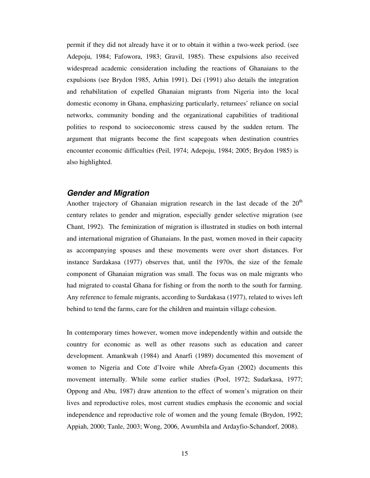permit if they did not already have it or to obtain it within a two-week period. (see Adepoju, 1984; Fafowora, 1983; Gravil, 1985). These expulsions also received widespread academic consideration including the reactions of Ghanaians to the expulsions (see Brydon 1985, Arhin 1991). Dei (1991) also details the integration and rehabilitation of expelled Ghanaian migrants from Nigeria into the local domestic economy in Ghana, emphasizing particularly, returnees' reliance on social networks, community bonding and the organizational capabilities of traditional polities to respond to socioeconomic stress caused by the sudden return. The argument that migrants become the first scapegoats when destination countries encounter economic difficulties (Peil, 1974; Adepoju, 1984; 2005; Brydon 1985) is also highlighted.

### *Gender and Migration*

Another trajectory of Ghanaian migration research in the last decade of the  $20<sup>th</sup>$ century relates to gender and migration, especially gender selective migration (see Chant, 1992). The feminization of migration is illustrated in studies on both internal and international migration of Ghanaians. In the past, women moved in their capacity as accompanying spouses and these movements were over short distances. For instance Surdakasa (1977) observes that, until the 1970s, the size of the female component of Ghanaian migration was small. The focus was on male migrants who had migrated to coastal Ghana for fishing or from the north to the south for farming. Any reference to female migrants, according to Surdakasa (1977), related to wives left behind to tend the farms, care for the children and maintain village cohesion.

In contemporary times however, women move independently within and outside the country for economic as well as other reasons such as education and career development. Amankwah (1984) and Anarfi (1989) documented this movement of women to Nigeria and Cote d'Ivoire while Abrefa-Gyan (2002) documents this movement internally. While some earlier studies (Pool, 1972; Sudarkasa, 1977; Oppong and Abu, 1987) draw attention to the effect of women's migration on their lives and reproductive roles, most current studies emphasis the economic and social independence and reproductive role of women and the young female (Brydon, 1992; Appiah, 2000; Tanle, 2003; Wong, 2006, Awumbila and Ardayfio-Schandorf, 2008).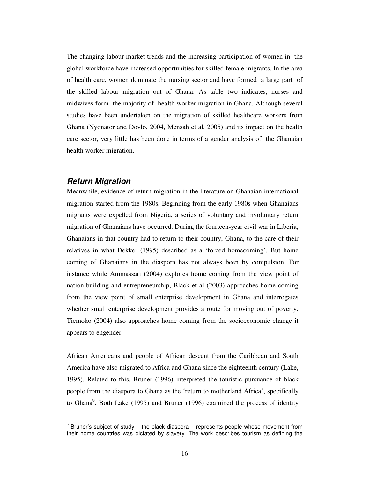The changing labour market trends and the increasing participation of women in the global workforce have increased opportunities for skilled female migrants. In the area of health care, women dominate the nursing sector and have formed a large part of the skilled labour migration out of Ghana. As table two indicates, nurses and midwives form the majority of health worker migration in Ghana. Although several studies have been undertaken on the migration of skilled healthcare workers from Ghana (Nyonator and Dovlo, 2004, Mensah et al, 2005) and its impact on the health care sector, very little has been done in terms of a gender analysis of the Ghanaian health worker migration.

### *Return Migration*

Meanwhile, evidence of return migration in the literature on Ghanaian international migration started from the 1980s. Beginning from the early 1980s when Ghanaians migrants were expelled from Nigeria, a series of voluntary and involuntary return migration of Ghanaians have occurred. During the fourteen-year civil war in Liberia, Ghanaians in that country had to return to their country, Ghana, to the care of their relatives in what Dekker (1995) described as a 'forced homecoming'. But home coming of Ghanaians in the diaspora has not always been by compulsion. For instance while Ammassari (2004) explores home coming from the view point of nation-building and entrepreneurship, Black et al (2003) approaches home coming from the view point of small enterprise development in Ghana and interrogates whether small enterprise development provides a route for moving out of poverty. Tiemoko (2004) also approaches home coming from the socioeconomic change it appears to engender.

African Americans and people of African descent from the Caribbean and South America have also migrated to Africa and Ghana since the eighteenth century (Lake, 1995). Related to this, Bruner (1996) interpreted the touristic pursuance of black people from the diaspora to Ghana as the 'return to motherland Africa', specifically to Ghana<sup>9</sup>. Both Lake (1995) and Bruner (1996) examined the process of identity

 $9$  Bruner's subject of study – the black diaspora – represents people whose movement from their home countries was dictated by slavery. The work describes tourism as defining the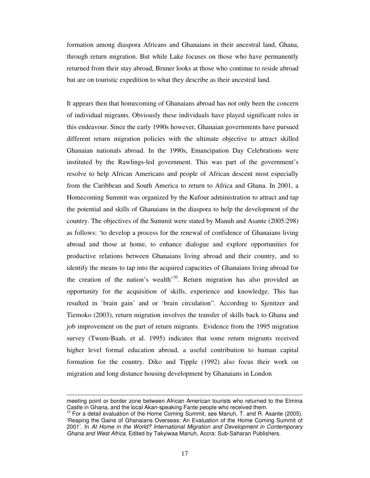formation among diaspora Africans and Ghanaians in their ancestral land, Ghana, through return migration. But while Lake focuses on those who have permanently returned from their stay abroad, Bruner looks at those who continue to reside abroad but are on touristic expedition to what they describe as their ancestral land.

It appears then that homecoming of Ghanaians abroad has not only been the concern of individual migrants. Obviously these individuals have played significant roles in this endeavour. Since the early 1990s however, Ghanaian governments have pursued different return migration policies with the ultimate objective to attract skilled Ghanaian nationals abroad. In the 1990s, Emancipation Day Celebrations were instituted by the Rawlings-led government. This was part of the government's resolve to help African Americans and people of African descent most especially from the Caribbean and South America to return to Africa and Ghana. In 2001, a Homecoming Summit was organized by the Kufour administration to attract and tap the potential and skills of Ghanaians in the diaspora to help the development of the country. The objectives of the Summit were stated by Manuh and Asante (2005:298) as follows: 'to develop a process for the renewal of confidence of Ghanaians living abroad and those at home, to enhance dialogue and explore opportunities for productive relations between Ghanaians living abroad and their country, and to identify the means to tap into the acquired capacities of Ghanaians living abroad for the creation of the nation's wealth<sup>'10</sup>. Return migration has also provided an opportunity for the acquisition of skills, experience and knowledge. This has resulted in `brain gain' and or 'brain circulation". According to Sjenitzer and Tiemoko (2003), return migration involves the transfer of skills back to Ghana and job improvement on the part of return migrants. Evidence from the 1995 migration survey (Twum-Baah, et al. 1995) indicates that some return migrants received higher level formal education abroad, a useful contribution to human capital formation for the country. Diko and Tipple (1992) also focus their work on migration and long distance housing development by Ghanaians in London

meeting point or border zone between African American tourists who returned to the Elmina Castle in Ghana, and the local Akan-speaking Fante people who received them.

<sup>&</sup>lt;sup>10</sup> For a detail evaluation of the Home Coming Summit, see Manuh, T. and R. Asante (2005). 'Reaping the Gains of Ghanaians Overseas: An Evaluation of the Home Coming Summit of 2001'. In *At Home in the World? International Migration and Development in Contemporary Ghana and West Africa.* Edited by Takyiwaa Manuh, Accra: Sub-Saharan Publishers.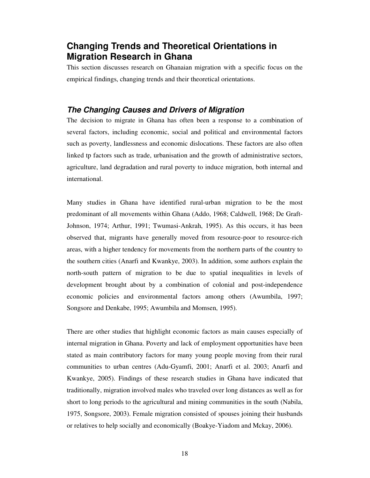## **Changing Trends and Theoretical Orientations in Migration Research in Ghana**

This section discusses research on Ghanaian migration with a specific focus on the empirical findings, changing trends and their theoretical orientations.

### *The Changing Causes and Drivers of Migration*

The decision to migrate in Ghana has often been a response to a combination of several factors, including economic, social and political and environmental factors such as poverty, landlessness and economic dislocations. These factors are also often linked tp factors such as trade, urbanisation and the growth of administrative sectors, agriculture, land degradation and rural poverty to induce migration, both internal and international.

Many studies in Ghana have identified rural-urban migration to be the most predominant of all movements within Ghana (Addo, 1968; Caldwell, 1968; De Graft-Johnson, 1974; Arthur, 1991; Twumasi-Ankrah, 1995). As this occurs, it has been observed that, migrants have generally moved from resource-poor to resource-rich areas, with a higher tendency for movements from the northern parts of the country to the southern cities (Anarfi and Kwankye, 2003). In addition, some authors explain the north-south pattern of migration to be due to spatial inequalities in levels of development brought about by a combination of colonial and post-independence economic policies and environmental factors among others (Awumbila, 1997; Songsore and Denkabe, 1995; Awumbila and Momsen, 1995).

There are other studies that highlight economic factors as main causes especially of internal migration in Ghana. Poverty and lack of employment opportunities have been stated as main contributory factors for many young people moving from their rural communities to urban centres (Adu-Gyamfi, 2001; Anarfi et al. 2003; Anarfi and Kwankye, 2005). Findings of these research studies in Ghana have indicated that traditionally, migration involved males who traveled over long distances as well as for short to long periods to the agricultural and mining communities in the south (Nabila, 1975, Songsore, 2003). Female migration consisted of spouses joining their husbands or relatives to help socially and economically (Boakye-Yiadom and Mckay, 2006).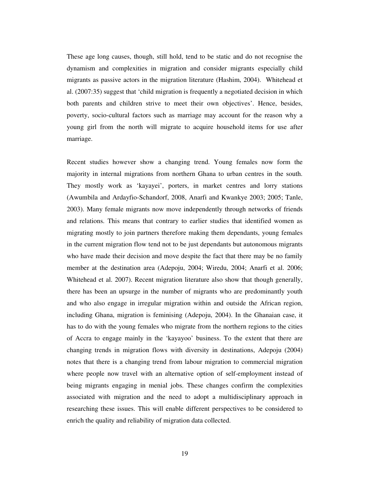These age long causes, though, still hold, tend to be static and do not recognise the dynamism and complexities in migration and consider migrants especially child migrants as passive actors in the migration literature (Hashim, 2004). Whitehead et al. (2007:35) suggest that 'child migration is frequently a negotiated decision in which both parents and children strive to meet their own objectives'. Hence, besides, poverty, socio-cultural factors such as marriage may account for the reason why a young girl from the north will migrate to acquire household items for use after marriage.

Recent studies however show a changing trend. Young females now form the majority in internal migrations from northern Ghana to urban centres in the south. They mostly work as 'kayayei', porters, in market centres and lorry stations (Awumbila and Ardayfio-Schandorf, 2008, Anarfi and Kwankye 2003; 2005; Tanle, 2003). Many female migrants now move independently through networks of friends and relations. This means that contrary to earlier studies that identified women as migrating mostly to join partners therefore making them dependants, young females in the current migration flow tend not to be just dependants but autonomous migrants who have made their decision and move despite the fact that there may be no family member at the destination area (Adepoju, 2004; Wiredu, 2004; Anarfi et al. 2006; Whitehead et al. 2007). Recent migration literature also show that though generally, there has been an upsurge in the number of migrants who are predominantly youth and who also engage in irregular migration within and outside the African region, including Ghana, migration is feminising (Adepoju, 2004). In the Ghanaian case, it has to do with the young females who migrate from the northern regions to the cities of Accra to engage mainly in the 'kayayoo' business. To the extent that there are changing trends in migration flows with diversity in destinations, Adepoju (2004) notes that there is a changing trend from labour migration to commercial migration where people now travel with an alternative option of self-employment instead of being migrants engaging in menial jobs. These changes confirm the complexities associated with migration and the need to adopt a multidisciplinary approach in researching these issues. This will enable different perspectives to be considered to enrich the quality and reliability of migration data collected.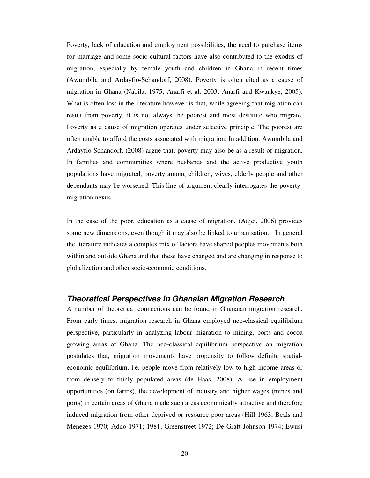Poverty, lack of education and employment possibilities, the need to purchase items for marriage and some socio-cultural factors have also contributed to the exodus of migration, especially by female youth and children in Ghana in recent times (Awumbila and Ardayfio-Schandorf, 2008). Poverty is often cited as a cause of migration in Ghana (Nabila, 1975; Anarfi et al. 2003; Anarfi and Kwankye, 2005). What is often lost in the literature however is that, while agreeing that migration can result from poverty, it is not always the poorest and most destitute who migrate. Poverty as a cause of migration operates under selective principle. The poorest are often unable to afford the costs associated with migration. In addition, Awumbila and Ardayfio-Schandorf, (2008) argue that, poverty may also be as a result of migration. In families and communities where husbands and the active productive youth populations have migrated, poverty among children, wives, elderly people and other dependants may be worsened. This line of argument clearly interrogates the povertymigration nexus.

In the case of the poor, education as a cause of migration, (Adjei, 2006) provides some new dimensions, even though it may also be linked to urbanisation. In general the literature indicates a complex mix of factors have shaped peoples movements both within and outside Ghana and that these have changed and are changing in response to globalization and other socio-economic conditions.

### *Theoretical Perspectives in Ghanaian Migration Research*

A number of theoretical connections can be found in Ghanaian migration research. From early times, migration research in Ghana employed neo-classical equilibrium perspective, particularly in analyzing labour migration to mining, ports and cocoa growing areas of Ghana. The neo-classical equilibrium perspective on migration postulates that, migration movements have propensity to follow definite spatialeconomic equilibrium, i.e. people move from relatively low to high income areas or from densely to thinly populated areas (de Haas, 2008). A rise in employment opportunities (on farms), the development of industry and higher wages (mines and ports) in certain areas of Ghana made such areas economically attractive and therefore induced migration from other deprived or resource poor areas (Hill 1963; Beals and Menezes 1970; Addo 1971; 1981; Greenstreet 1972; De Graft-Johnson 1974; Ewusi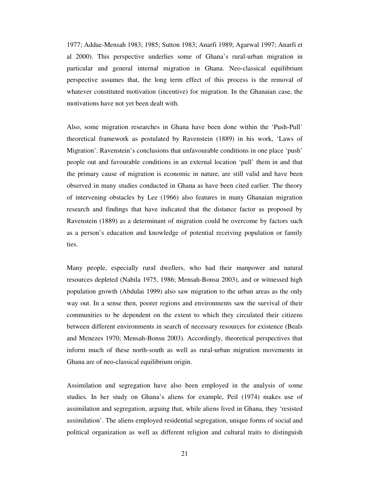1977; Addae-Mensah 1983; 1985; Sutton 1983; Anarfi 1989; Agarwal 1997; Anarfi et al 2000). This perspective underlies some of Ghana's rural-urban migration in particular and general internal migration in Ghana. Neo-classical equilibrium perspective assumes that, the long term effect of this process is the removal of whatever constituted motivation (incentive) for migration. In the Ghanaian case, the motivations have not yet been dealt with.

Also, some migration researches in Ghana have been done within the 'Push-Pull' theoretical framework as postulated by Ravenstein (1889) in his work, 'Laws of Migration'. Ravenstein's conclusions that unfavourable conditions in one place 'push' people out and favourable conditions in an external location 'pull' them in and that the primary cause of migration is economic in nature, are still valid and have been observed in many studies conducted in Ghana as have been cited earlier. The theory of intervening obstacles by Lee (1966) also features in many Ghanaian migration research and findings that have indicated that the distance factor as proposed by Ravenstein (1889) as a determinant of migration could be overcome by factors such as a person's education and knowledge of potential receiving population or family ties.

Many people, especially rural dwellers, who had their manpower and natural resources depleted (Nabila 1975, 1986; Mensah-Bonsu 2003), and or witnessed high population growth (Abdulai 1999) also saw migration to the urban areas as the only way out. In a sense then, poorer regions and environments saw the survival of their communities to be dependent on the extent to which they circulated their citizens between different environments in search of necessary resources for existence (Beals and Menezes 1970; Mensah-Bonsu 2003). Accordingly, theoretical perspectives that inform much of these north-south as well as rural-urban migration movements in Ghana are of neo-classical equilibrium origin.

Assimilation and segregation have also been employed in the analysis of some studies. In her study on Ghana's aliens for example, Peil (1974) makes use of assimilation and segregation, arguing that, while aliens lived in Ghana, they 'resisted assimilation'. The aliens employed residential segregation, unique forms of social and political organization as well as different religion and cultural traits to distinguish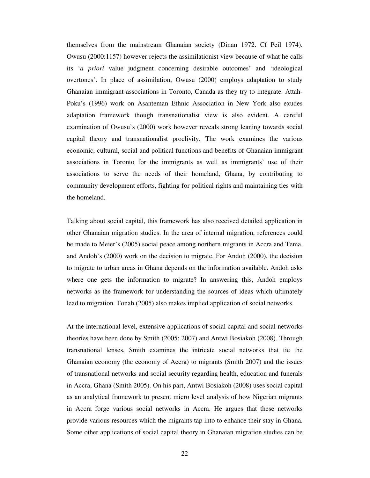themselves from the mainstream Ghanaian society (Dinan 1972. Cf Peil 1974). Owusu (2000:1157) however rejects the assimilationist view because of what he calls its '*a priori* value judgment concerning desirable outcomes' and 'ideological overtones'. In place of assimilation, Owusu (2000) employs adaptation to study Ghanaian immigrant associations in Toronto, Canada as they try to integrate. Attah-Poku's (1996) work on Asanteman Ethnic Association in New York also exudes adaptation framework though transnationalist view is also evident. A careful examination of Owusu's (2000) work however reveals strong leaning towards social capital theory and transnationalist proclivity. The work examines the various economic, cultural, social and political functions and benefits of Ghanaian immigrant associations in Toronto for the immigrants as well as immigrants' use of their associations to serve the needs of their homeland, Ghana, by contributing to community development efforts, fighting for political rights and maintaining ties with the homeland.

Talking about social capital, this framework has also received detailed application in other Ghanaian migration studies. In the area of internal migration, references could be made to Meier's (2005) social peace among northern migrants in Accra and Tema, and Andoh's (2000) work on the decision to migrate. For Andoh (2000), the decision to migrate to urban areas in Ghana depends on the information available. Andoh asks where one gets the information to migrate? In answering this, Andoh employs networks as the framework for understanding the sources of ideas which ultimately lead to migration. Tonah (2005) also makes implied application of social networks.

At the international level, extensive applications of social capital and social networks theories have been done by Smith (2005; 2007) and Antwi Bosiakoh (2008). Through transnational lenses, Smith examines the intricate social networks that tie the Ghanaian economy (the economy of Accra) to migrants (Smith 2007) and the issues of transnational networks and social security regarding health, education and funerals in Accra, Ghana (Smith 2005). On his part, Antwi Bosiakoh (2008) uses social capital as an analytical framework to present micro level analysis of how Nigerian migrants in Accra forge various social networks in Accra. He argues that these networks provide various resources which the migrants tap into to enhance their stay in Ghana. Some other applications of social capital theory in Ghanaian migration studies can be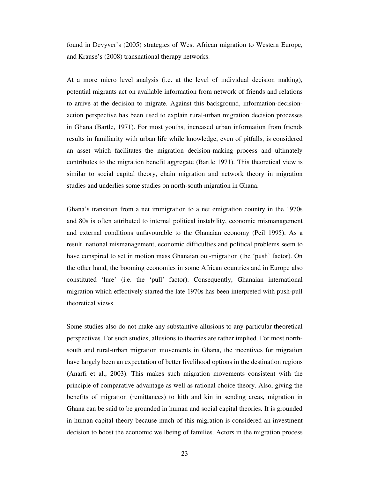found in Devyver's (2005) strategies of West African migration to Western Europe, and Krause's (2008) transnational therapy networks.

At a more micro level analysis (i.e. at the level of individual decision making), potential migrants act on available information from network of friends and relations to arrive at the decision to migrate. Against this background, information-decisionaction perspective has been used to explain rural-urban migration decision processes in Ghana (Bartle, 1971). For most youths, increased urban information from friends results in familiarity with urban life while knowledge, even of pitfalls, is considered an asset which facilitates the migration decision-making process and ultimately contributes to the migration benefit aggregate (Bartle 1971). This theoretical view is similar to social capital theory, chain migration and network theory in migration studies and underlies some studies on north-south migration in Ghana.

Ghana's transition from a net immigration to a net emigration country in the 1970s and 80s is often attributed to internal political instability, economic mismanagement and external conditions unfavourable to the Ghanaian economy (Peil 1995). As a result, national mismanagement, economic difficulties and political problems seem to have conspired to set in motion mass Ghanaian out-migration (the 'push' factor). On the other hand, the booming economies in some African countries and in Europe also constituted 'lure' (i.e. the 'pull' factor). Consequently, Ghanaian international migration which effectively started the late 1970s has been interpreted with push-pull theoretical views.

Some studies also do not make any substantive allusions to any particular theoretical perspectives. For such studies, allusions to theories are rather implied. For most northsouth and rural-urban migration movements in Ghana, the incentives for migration have largely been an expectation of better livelihood options in the destination regions (Anarfi et al., 2003). This makes such migration movements consistent with the principle of comparative advantage as well as rational choice theory. Also, giving the benefits of migration (remittances) to kith and kin in sending areas, migration in Ghana can be said to be grounded in human and social capital theories. It is grounded in human capital theory because much of this migration is considered an investment decision to boost the economic wellbeing of families. Actors in the migration process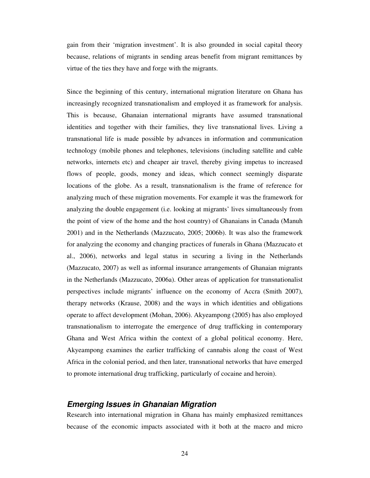gain from their 'migration investment'. It is also grounded in social capital theory because, relations of migrants in sending areas benefit from migrant remittances by virtue of the ties they have and forge with the migrants.

Since the beginning of this century, international migration literature on Ghana has increasingly recognized transnationalism and employed it as framework for analysis. This is because, Ghanaian international migrants have assumed transnational identities and together with their families, they live transnational lives. Living a transnational life is made possible by advances in information and communication technology (mobile phones and telephones, televisions (including satellite and cable networks, internets etc) and cheaper air travel, thereby giving impetus to increased flows of people, goods, money and ideas, which connect seemingly disparate locations of the globe. As a result, transnationalism is the frame of reference for analyzing much of these migration movements. For example it was the framework for analyzing the double engagement (i.e. looking at migrants' lives simultaneously from the point of view of the home and the host country) of Ghanaians in Canada (Manuh 2001) and in the Netherlands (Mazzucato, 2005; 2006b). It was also the framework for analyzing the economy and changing practices of funerals in Ghana (Mazzucato et al., 2006), networks and legal status in securing a living in the Netherlands (Mazzucato, 2007) as well as informal insurance arrangements of Ghanaian migrants in the Netherlands (Mazzucato, 2006a). Other areas of application for transnationalist perspectives include migrants' influence on the economy of Accra (Smith 2007), therapy networks (Krause, 2008) and the ways in which identities and obligations operate to affect development (Mohan, 2006). Akyeampong (2005) has also employed transnationalism to interrogate the emergence of drug trafficking in contemporary Ghana and West Africa within the context of a global political economy. Here, Akyeampong examines the earlier trafficking of cannabis along the coast of West Africa in the colonial period, and then later, transnational networks that have emerged to promote international drug trafficking, particularly of cocaine and heroin).

### *Emerging Issues in Ghanaian Migration*

Research into international migration in Ghana has mainly emphasized remittances because of the economic impacts associated with it both at the macro and micro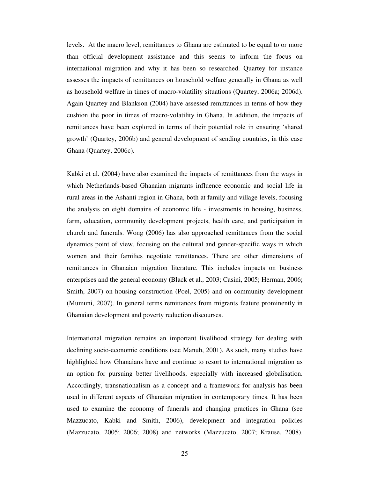levels. At the macro level, remittances to Ghana are estimated to be equal to or more than official development assistance and this seems to inform the focus on international migration and why it has been so researched. Quartey for instance assesses the impacts of remittances on household welfare generally in Ghana as well as household welfare in times of macro-volatility situations (Quartey, 2006a; 2006d). Again Quartey and Blankson (2004) have assessed remittances in terms of how they cushion the poor in times of macro-volatility in Ghana. In addition, the impacts of remittances have been explored in terms of their potential role in ensuring 'shared growth' (Quartey, 2006b) and general development of sending countries, in this case Ghana (Quartey, 2006c).

Kabki et al. (2004) have also examined the impacts of remittances from the ways in which Netherlands-based Ghanaian migrants influence economic and social life in rural areas in the Ashanti region in Ghana, both at family and village levels, focusing the analysis on eight domains of economic life - investments in housing, business, farm, education, community development projects, health care, and participation in church and funerals. Wong (2006) has also approached remittances from the social dynamics point of view, focusing on the cultural and gender-specific ways in which women and their families negotiate remittances. There are other dimensions of remittances in Ghanaian migration literature. This includes impacts on business enterprises and the general economy (Black et al., 2003; Casini, 2005; Herman, 2006; Smith, 2007) on housing construction (Poel, 2005) and on community development (Mumuni, 2007). In general terms remittances from migrants feature prominently in Ghanaian development and poverty reduction discourses.

International migration remains an important livelihood strategy for dealing with declining socio-economic conditions (see Manuh, 2001). As such, many studies have highlighted how Ghanaians have and continue to resort to international migration as an option for pursuing better livelihoods, especially with increased globalisation. Accordingly, transnationalism as a concept and a framework for analysis has been used in different aspects of Ghanaian migration in contemporary times. It has been used to examine the economy of funerals and changing practices in Ghana (see Mazzucato, Kabki and Smith, 2006), development and integration policies (Mazzucato, 2005; 2006; 2008) and networks (Mazzucato, 2007; Krause, 2008).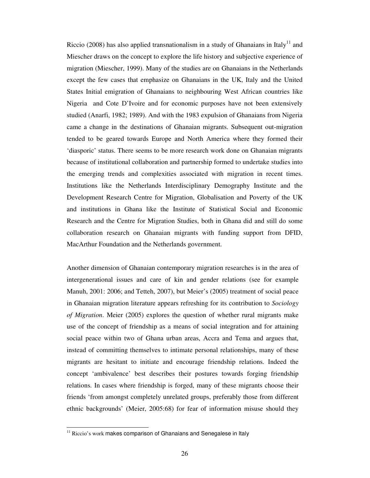Riccio (2008) has also applied transnationalism in a study of Ghanaians in Italy<sup>11</sup> and Miescher draws on the concept to explore the life history and subjective experience of migration (Miescher, 1999). Many of the studies are on Ghanaians in the Netherlands except the few cases that emphasize on Ghanaians in the UK, Italy and the United States Initial emigration of Ghanaians to neighbouring West African countries like Nigeria and Cote D'Ivoire and for economic purposes have not been extensively studied (Anarfi, 1982; 1989). And with the 1983 expulsion of Ghanaians from Nigeria came a change in the destinations of Ghanaian migrants. Subsequent out-migration tended to be geared towards Europe and North America where they formed their 'diasporic' status. There seems to be more research work done on Ghanaian migrants because of institutional collaboration and partnership formed to undertake studies into the emerging trends and complexities associated with migration in recent times. Institutions like the Netherlands Interdisciplinary Demography Institute and the Development Research Centre for Migration, Globalisation and Poverty of the UK and institutions in Ghana like the Institute of Statistical Social and Economic Research and the Centre for Migration Studies, both in Ghana did and still do some collaboration research on Ghanaian migrants with funding support from DFID, MacArthur Foundation and the Netherlands government.

Another dimension of Ghanaian contemporary migration researches is in the area of intergenerational issues and care of kin and gender relations (see for example Manuh, 2001: 2006; and Tetteh, 2007), but Meier's (2005) treatment of social peace in Ghanaian migration literature appears refreshing for its contribution to *Sociology of Migration*. Meier (2005) explores the question of whether rural migrants make use of the concept of friendship as a means of social integration and for attaining social peace within two of Ghana urban areas, Accra and Tema and argues that, instead of committing themselves to intimate personal relationships, many of these migrants are hesitant to initiate and encourage friendship relations. Indeed the concept 'ambivalence' best describes their postures towards forging friendship relations. In cases where friendship is forged, many of these migrants choose their friends 'from amongst completely unrelated groups, preferably those from different ethnic backgrounds' (Meier, 2005:68) for fear of information misuse should they

 $11$  Riccio's work makes comparison of Ghanaians and Senegalese in Italy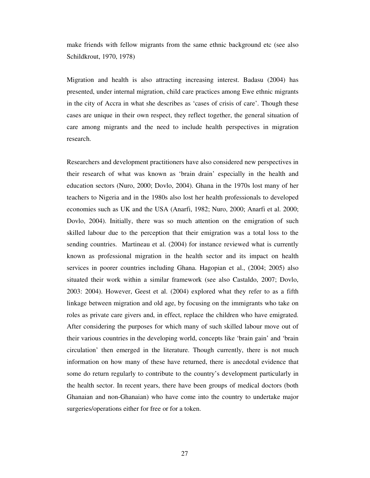make friends with fellow migrants from the same ethnic background etc (see also Schildkrout, 1970, 1978)

Migration and health is also attracting increasing interest. Badasu (2004) has presented, under internal migration, child care practices among Ewe ethnic migrants in the city of Accra in what she describes as 'cases of crisis of care'. Though these cases are unique in their own respect, they reflect together, the general situation of care among migrants and the need to include health perspectives in migration research.

Researchers and development practitioners have also considered new perspectives in their research of what was known as 'brain drain' especially in the health and education sectors (Nuro, 2000; Dovlo, 2004). Ghana in the 1970s lost many of her teachers to Nigeria and in the 1980s also lost her health professionals to developed economies such as UK and the USA (Anarfi, 1982; Nuro, 2000; Anarfi et al. 2000; Dovlo, 2004). Initially, there was so much attention on the emigration of such skilled labour due to the perception that their emigration was a total loss to the sending countries. Martineau et al. (2004) for instance reviewed what is currently known as professional migration in the health sector and its impact on health services in poorer countries including Ghana. Hagopian et al., (2004; 2005) also situated their work within a similar framework (see also Castaldo, 2007; Dovlo, 2003: 2004). However, Geest et al. (2004) explored what they refer to as a fifth linkage between migration and old age, by focusing on the immigrants who take on roles as private care givers and, in effect, replace the children who have emigrated. After considering the purposes for which many of such skilled labour move out of their various countries in the developing world, concepts like 'brain gain' and 'brain circulation' then emerged in the literature. Though currently, there is not much information on how many of these have returned, there is anecdotal evidence that some do return regularly to contribute to the country's development particularly in the health sector. In recent years, there have been groups of medical doctors (both Ghanaian and non-Ghanaian) who have come into the country to undertake major surgeries/operations either for free or for a token.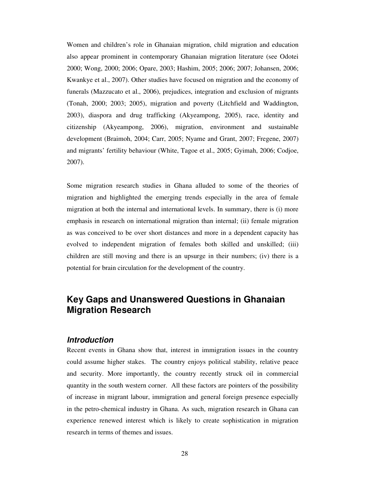Women and children's role in Ghanaian migration, child migration and education also appear prominent in contemporary Ghanaian migration literature (see Odotei 2000; Wong, 2000; 2006; Opare, 2003; Hashim, 2005; 2006; 2007; Johansen, 2006; Kwankye et al., 2007). Other studies have focused on migration and the economy of funerals (Mazzucato et al., 2006), prejudices, integration and exclusion of migrants (Tonah, 2000; 2003; 2005), migration and poverty (Litchfield and Waddington, 2003), diaspora and drug trafficking (Akyeampong, 2005), race, identity and citizenship (Akyeampong, 2006), migration, environment and sustainable development (Braimoh, 2004; Carr, 2005; Nyame and Grant, 2007; Fregene, 2007) and migrants' fertility behaviour (White, Tagoe et al., 2005; Gyimah, 2006; Codjoe, 2007).

Some migration research studies in Ghana alluded to some of the theories of migration and highlighted the emerging trends especially in the area of female migration at both the internal and international levels. In summary, there is (i) more emphasis in research on international migration than internal; (ii) female migration as was conceived to be over short distances and more in a dependent capacity has evolved to independent migration of females both skilled and unskilled; (iii) children are still moving and there is an upsurge in their numbers; (iv) there is a potential for brain circulation for the development of the country.

### **Key Gaps and Unanswered Questions in Ghanaian Migration Research**

### *Introduction*

Recent events in Ghana show that, interest in immigration issues in the country could assume higher stakes. The country enjoys political stability, relative peace and security. More importantly, the country recently struck oil in commercial quantity in the south western corner. All these factors are pointers of the possibility of increase in migrant labour, immigration and general foreign presence especially in the petro-chemical industry in Ghana. As such, migration research in Ghana can experience renewed interest which is likely to create sophistication in migration research in terms of themes and issues.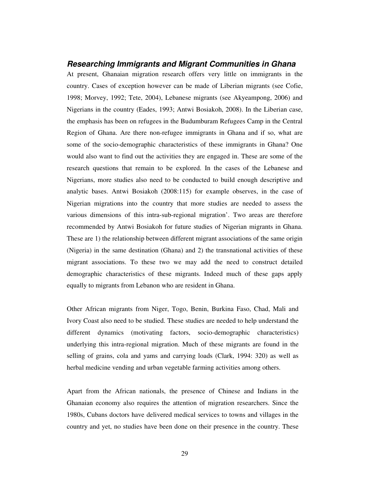### *Researching Immigrants and Migrant Communities in Ghana*

At present, Ghanaian migration research offers very little on immigrants in the country. Cases of exception however can be made of Liberian migrants (see Cofie, 1998; Morvey, 1992; Tete, 2004), Lebanese migrants (see Akyeampong, 2006) and Nigerians in the country (Eades, 1993; Antwi Bosiakoh, 2008). In the Liberian case, the emphasis has been on refugees in the Budumburam Refugees Camp in the Central Region of Ghana. Are there non-refugee immigrants in Ghana and if so, what are some of the socio-demographic characteristics of these immigrants in Ghana? One would also want to find out the activities they are engaged in. These are some of the research questions that remain to be explored. In the cases of the Lebanese and Nigerians, more studies also need to be conducted to build enough descriptive and analytic bases. Antwi Bosiakoh (2008:115) for example observes, in the case of Nigerian migrations into the country that more studies are needed to assess the various dimensions of this intra-sub-regional migration'. Two areas are therefore recommended by Antwi Bosiakoh for future studies of Nigerian migrants in Ghana. These are 1) the relationship between different migrant associations of the same origin (Nigeria) in the same destination (Ghana) and 2) the transnational activities of these migrant associations. To these two we may add the need to construct detailed demographic characteristics of these migrants. Indeed much of these gaps apply equally to migrants from Lebanon who are resident in Ghana.

Other African migrants from Niger, Togo, Benin, Burkina Faso, Chad, Mali and Ivory Coast also need to be studied. These studies are needed to help understand the different dynamics (motivating factors, socio-demographic characteristics) underlying this intra-regional migration. Much of these migrants are found in the selling of grains, cola and yams and carrying loads (Clark, 1994: 320) as well as herbal medicine vending and urban vegetable farming activities among others.

Apart from the African nationals, the presence of Chinese and Indians in the Ghanaian economy also requires the attention of migration researchers. Since the 1980s, Cubans doctors have delivered medical services to towns and villages in the country and yet, no studies have been done on their presence in the country. These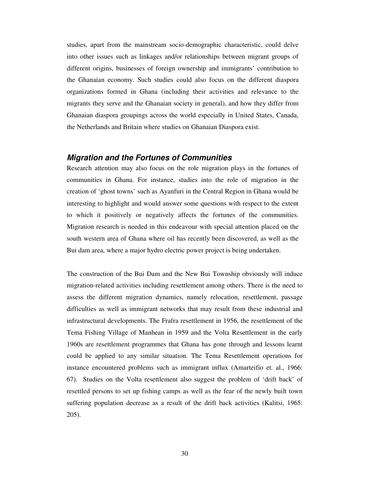studies, apart from the mainstream socio-demographic characteristic, could delve into other issues such as linkages and/or relationships between migrant groups of different origins, businesses of foreign ownership and immigrants' contribution to the Ghanaian economy. Such studies could also focus on the different diaspora organizations formed in Ghana (including their activities and relevance to the migrants they serve and the Ghanaian society in general), and how they differ from Ghanaian diaspora groupings across the world especially in United States, Canada, the Netherlands and Britain where studies on Ghanaian Diaspora exist.

#### *Migration and the Fortunes of Communities*

Research attention may also focus on the role migration plays in the fortunes of communities in Ghana. For instance, studies into the role of migration in the creation of 'ghost towns' such as Ayanfuri in the Central Region in Ghana would be interesting to highlight and would answer some questions with respect to the extent to which it positively or negatively affects the fortunes of the communities. Migration research is needed in this endeavour with special attention placed on the south western area of Ghana where oil has recently been discovered, as well as the Bui dam area, where a major hydro electric power project is being undertaken.

The construction of the Bui Dam and the New Bui Township obviously will induce migration-related activities including resettlement among others. There is the need to assess the different migration dynamics, namely relocation, resettlement, passage difficulties as well as immigrant networks that may result from these industrial and infrastructural developments. The Frafra resettlement in 1956, the resettlement of the Tema Fishing Village of Manhean in 1959 and the Volta Resettlement in the early 1960s are resettlement programmes that Ghana has gone through and lessons learnt could be applied to any similar situation. The Tema Resettlement operations for instance encountered problems such as immigrant influx (Amarteifio et. al., 1966: 67). Studies on the Volta resettlement also suggest the problem of 'drift back' of resettled persons to set up fishing camps as well as the fear of the newly built town suffering population decrease as a result of the drift back activities (Kalitsi, 1965: 205).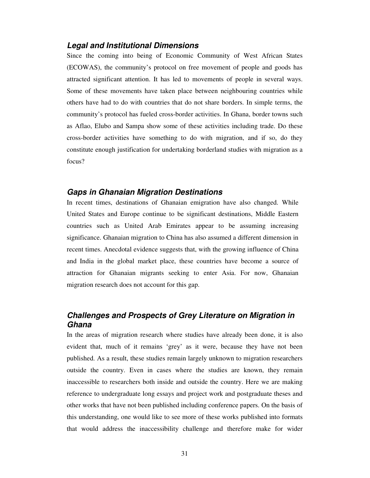#### *Legal and Institutional Dimensions*

Since the coming into being of Economic Community of West African States (ECOWAS), the community's protocol on free movement of people and goods has attracted significant attention. It has led to movements of people in several ways. Some of these movements have taken place between neighbouring countries while others have had to do with countries that do not share borders. In simple terms, the community's protocol has fueled cross-border activities. In Ghana, border towns such as Aflao, Elubo and Sampa show some of these activities including trade. Do these cross-border activities have something to do with migration, and if so, do they constitute enough justification for undertaking borderland studies with migration as a focus?

### *Gaps in Ghanaian Migration Destinations*

In recent times, destinations of Ghanaian emigration have also changed. While United States and Europe continue to be significant destinations, Middle Eastern countries such as United Arab Emirates appear to be assuming increasing significance. Ghanaian migration to China has also assumed a different dimension in recent times. Anecdotal evidence suggests that, with the growing influence of China and India in the global market place, these countries have become a source of attraction for Ghanaian migrants seeking to enter Asia. For now, Ghanaian migration research does not account for this gap.

### *Challenges and Prospects of Grey Literature on Migration in Ghana*

In the areas of migration research where studies have already been done, it is also evident that, much of it remains 'grey' as it were, because they have not been published. As a result, these studies remain largely unknown to migration researchers outside the country. Even in cases where the studies are known, they remain inaccessible to researchers both inside and outside the country. Here we are making reference to undergraduate long essays and project work and postgraduate theses and other works that have not been published including conference papers. On the basis of this understanding, one would like to see more of these works published into formats that would address the inaccessibility challenge and therefore make for wider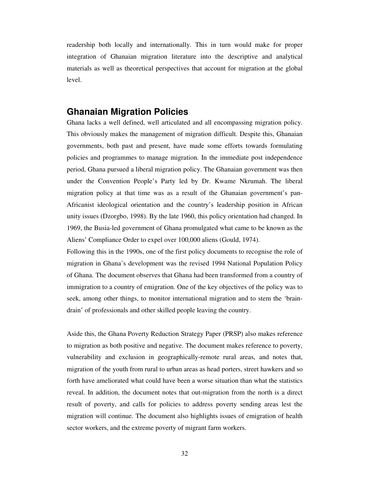readership both locally and internationally. This in turn would make for proper integration of Ghanaian migration literature into the descriptive and analytical materials as well as theoretical perspectives that account for migration at the global level.

### **Ghanaian Migration Policies**

Ghana lacks a well defined, well articulated and all encompassing migration policy. This obviously makes the management of migration difficult. Despite this, Ghanaian governments, both past and present, have made some efforts towards formulating policies and programmes to manage migration. In the immediate post independence period, Ghana pursued a liberal migration policy. The Ghanaian government was then under the Convention People's Party led by Dr. Kwame Nkrumah. The liberal migration policy at that time was as a result of the Ghanaian government's pan-Africanist ideological orientation and the country's leadership position in African unity issues (Dzorgbo, 1998). By the late 1960, this policy orientation had changed. In 1969, the Busia-led government of Ghana promulgated what came to be known as the Aliens' Compliance Order to expel over 100,000 aliens (Gould, 1974).

Following this in the 1990s, one of the first policy documents to recognise the role of migration in Ghana's development was the revised 1994 National Population Policy of Ghana. The document observes that Ghana had been transformed from a country of immigration to a country of emigration. One of the key objectives of the policy was to seek, among other things, to monitor international migration and to stem the 'braindrain' of professionals and other skilled people leaving the country.

Aside this, the Ghana Poverty Reduction Strategy Paper (PRSP) also makes reference to migration as both positive and negative. The document makes reference to poverty, vulnerability and exclusion in geographically-remote rural areas, and notes that, migration of the youth from rural to urban areas as head porters, street hawkers and so forth have ameliorated what could have been a worse situation than what the statistics reveal. In addition, the document notes that out-migration from the north is a direct result of poverty, and calls for policies to address poverty sending areas lest the migration will continue. The document also highlights issues of emigration of health sector workers, and the extreme poverty of migrant farm workers.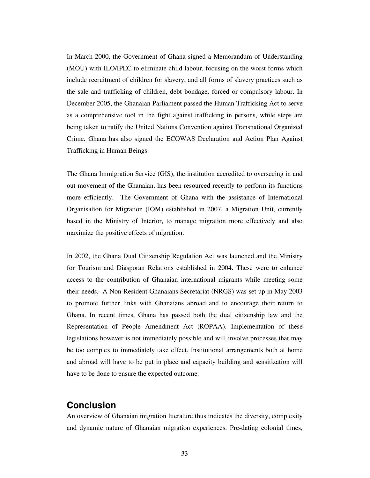In March 2000, the Government of Ghana signed a Memorandum of Understanding (MOU) with ILO/IPEC to eliminate child labour, focusing on the worst forms which include recruitment of children for slavery, and all forms of slavery practices such as the sale and trafficking of children, debt bondage, forced or compulsory labour. In December 2005, the Ghanaian Parliament passed the Human Trafficking Act to serve as a comprehensive tool in the fight against trafficking in persons, while steps are being taken to ratify the United Nations Convention against Transnational Organized Crime. Ghana has also signed the ECOWAS Declaration and Action Plan Against Trafficking in Human Beings.

The Ghana Immigration Service (GIS), the institution accredited to overseeing in and out movement of the Ghanaian, has been resourced recently to perform its functions more efficiently. The Government of Ghana with the assistance of International Organisation for Migration (IOM) established in 2007, a Migration Unit, currently based in the Ministry of Interior, to manage migration more effectively and also maximize the positive effects of migration.

In 2002, the Ghana Dual Citizenship Regulation Act was launched and the Ministry for Tourism and Diasporan Relations established in 2004. These were to enhance access to the contribution of Ghanaian international migrants while meeting some their needs. A Non-Resident Ghanaians Secretariat (NRGS) was set up in May 2003 to promote further links with Ghanaians abroad and to encourage their return to Ghana. In recent times, Ghana has passed both the dual citizenship law and the Representation of People Amendment Act (ROPAA). Implementation of these legislations however is not immediately possible and will involve processes that may be too complex to immediately take effect. Institutional arrangements both at home and abroad will have to be put in place and capacity building and sensitization will have to be done to ensure the expected outcome.

### **Conclusion**

An overview of Ghanaian migration literature thus indicates the diversity, complexity and dynamic nature of Ghanaian migration experiences. Pre-dating colonial times,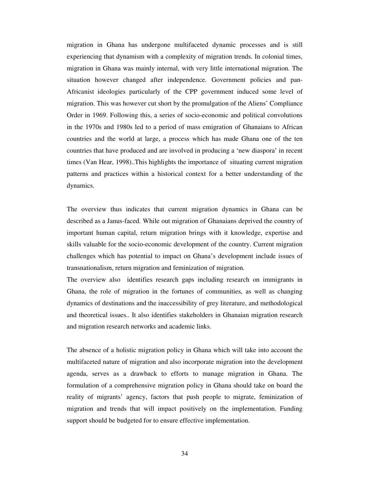migration in Ghana has undergone multifaceted dynamic processes and is still experiencing that dynamism with a complexity of migration trends. In colonial times, migration in Ghana was mainly internal, with very little international migration. The situation however changed after independence. Government policies and pan-Africanist ideologies particularly of the CPP government induced some level of migration. This was however cut short by the promulgation of the Aliens' Compliance Order in 1969. Following this, a series of socio-economic and political convolutions in the 1970s and 1980s led to a period of mass emigration of Ghanaians to African countries and the world at large, a process which has made Ghana one of the ten countries that have produced and are involved in producing a 'new diaspora' in recent times (Van Hear, 1998)..This highlights the importance of situating current migration patterns and practices within a historical context for a better understanding of the dynamics.

The overview thus indicates that current migration dynamics in Ghana can be described as a Janus-faced. While out migration of Ghanaians deprived the country of important human capital, return migration brings with it knowledge, expertise and skills valuable for the socio-economic development of the country. Current migration challenges which has potential to impact on Ghana's development include issues of transnationalism, return migration and feminization of migration.

The overview also identifies research gaps including research on immigrants in Ghana, the role of migration in the fortunes of communities, as well as changing dynamics of destinations and the inaccessibility of grey literature, and methodological and theoretical issues.. It also identifies stakeholders in Ghanaian migration research and migration research networks and academic links.

The absence of a holistic migration policy in Ghana which will take into account the multifaceted nature of migration and also incorporate migration into the development agenda, serves as a drawback to efforts to manage migration in Ghana. The formulation of a comprehensive migration policy in Ghana should take on board the reality of migrants' agency, factors that push people to migrate, feminization of migration and trends that will impact positively on the implementation. Funding support should be budgeted for to ensure effective implementation.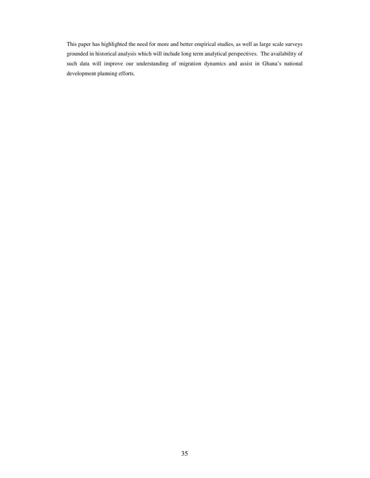This paper has highlighted the need for more and better empirical studies, as well as large scale surveys grounded in historical analysis which will include long term analytical perspectives. The availability of such data will improve our understanding of migration dynamics and assist in Ghana's national development planning efforts.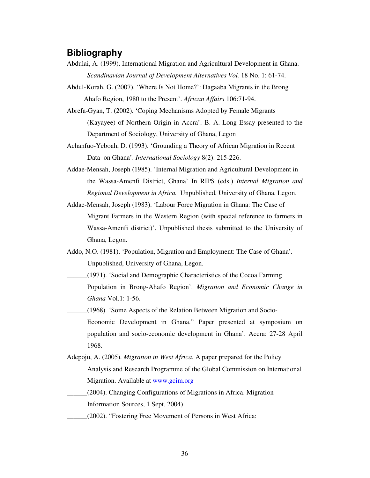### **Bibliography**

- Abdulai, A. (1999). International Migration and Agricultural Development in Ghana. *Scandinavian Journal of Development Alternatives Vol.* 18 No. 1: 61-74.
- Abdul-Korah, G. (2007). 'Where Is Not Home?': Dagaaba Migrants in the Brong Ahafo Region, 1980 to the Present'. *African Affairs* 106:71-94.
- Abrefa-Gyan, T. (2002). 'Coping Mechanisms Adopted by Female Migrants (Kayayee) of Northern Origin in Accra'. B. A. Long Essay presented to the Department of Sociology, University of Ghana, Legon
- Achanfuo-Yeboah, D. (1993). 'Grounding a Theory of African Migration in Recent Data on Ghana'. *International Sociology* 8(2): 215-226.
- Addae-Mensah, Joseph (1985). 'Internal Migration and Agricultural Development in the Wassa-Amenfi District, Ghana' In RIPS (eds.) *Internal Migration and Regional Development in Africa.* Unpublished, University of Ghana, Legon.
- Addae-Mensah, Joseph (1983). 'Labour Force Migration in Ghana: The Case of Migrant Farmers in the Western Region (with special reference to farmers in Wassa-Amenfi district)'. Unpublished thesis submitted to the University of Ghana, Legon.
- Addo, N.O. (1981). 'Population, Migration and Employment: The Case of Ghana'*.* Unpublished, University of Ghana, Legon.
- \_\_\_\_\_\_(1971). 'Social and Demographic Characteristics of the Cocoa Farming Population in Brong-Ahafo Region'. *Migration and Economic Change in Ghana* Vol.1: 1-56.
- \_\_\_\_\_\_(1968). 'Some Aspects of the Relation Between Migration and Socio-Economic Development in Ghana." Paper presented at symposium on population and socio-economic development in Ghana'. Accra: 27-28 April 1968.
- Adepoju, A. (2005). *Migration in West Africa*. A paper prepared for the Policy Analysis and Research Programme of the Global Commission on International Migration. Available at www.gcim.org
- \_\_\_\_\_\_(2004). Changing Configurations of Migrations in Africa. Migration Information Sources, 1 Sept. 2004)
	- \_\_\_\_\_\_(2002). "Fostering Free Movement of Persons in West Africa: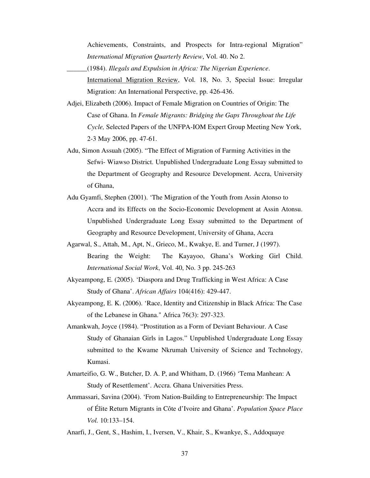Achievements, Constraints, and Prospects for Intra-regional Migration" *International Migration Quarterly Review*, Vol. 40. No 2.

- \_\_\_\_\_\_(1984). *Illegals and Expulsion in Africa: The Nigerian Experience*. International Migration Review, Vol. 18, No. 3, Special Issue: Irregular Migration: An International Perspective, pp. 426-436.
- Adjei, Elizabeth (2006). Impact of Female Migration on Countries of Origin: The Case of Ghana. In *Female Migrants: Bridging the Gaps Throughout the Life Cycle,* Selected Papers of the UNFPA-IOM Expert Group Meeting New York, 2-3 May 2006, pp. 47-61.
- Adu, Simon Assuah (2005). "The Effect of Migration of Farming Activities in the Sefwi- Wiawso District. Unpublished Undergraduate Long Essay submitted to the Department of Geography and Resource Development. Accra, University of Ghana,
- Adu Gyamfi, Stephen (2001). 'The Migration of the Youth from Assin Atonso to Accra and its Effects on the Socio-Economic Development at Assin Atonsu. Unpublished Undergraduate Long Essay submitted to the Department of Geography and Resource Development, University of Ghana, Accra
- Agarwal, S., Attah, M., Apt, N., Grieco, M., Kwakye, E. and Turner, J (1997). Bearing the Weight: The Kayayoo, Ghana's Working Girl Child. *International Social Work*, Vol. 40, No. 3 pp. 245-263
- Akyeampong, E. (2005). 'Diaspora and Drug Trafficking in West Africa: A Case Study of Ghana'. *African Affairs* 104(416): 429-447.
- Akyeampong, E. K. (2006). 'Race, Identity and Citizenship in Black Africa: The Case of the Lebanese in Ghana." Africa 76(3): 297-323.
- Amankwah, Joyce (1984). "Prostitution as a Form of Deviant Behaviour. A Case Study of Ghanaian Girls in Lagos." Unpublished Undergraduate Long Essay submitted to the Kwame Nkrumah University of Science and Technology, Kumasi.
- Amarteifio, G. W., Butcher, D. A. P, and Whitham, D. (1966) 'Tema Manhean: A Study of Resettlement'. Accra. Ghana Universities Press.
- Ammassari, Savina (2004). 'From Nation-Building to Entrepreneurship: The Impact of Élite Return Migrants in Côte d'Ivoire and Ghana'. *Population Space Place Vol.* 10:133–154.
- Anarfi, J., Gent, S., Hashim, I., Iversen, V., Khair, S., Kwankye, S., Addoquaye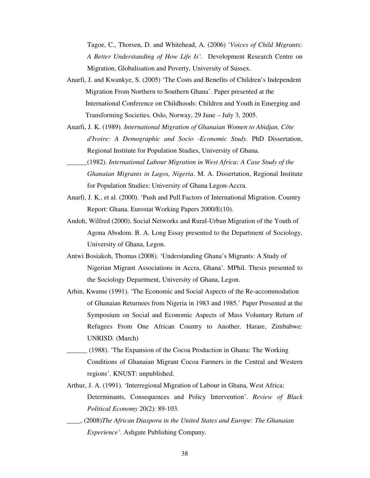Tagoe, C., Thorsen, D. and Whitehead, A. (2006) '*Voices of Child Migrants: A Better Understanding of How Life Is'.* Development Research Centre on Migration, Globalisation and Poverty, University of Sussex.

- Anarfi, J. and Kwankye, S. (2005) 'The Costs and Benefits of Children's Independent Migration From Northern to Southern Ghana'. Paper presented at the International Conference on Childhoods: Children and Youth in Emerging and Transforming Societies. Oslo, Norway, 29 June – July 3, 2005.
- Anarfi, J. K. (1989). *International Migration of Ghanaian Women to Abidjan, Côte d'Ivoire: A Demographic and Socio -Economic Study*. PhD Dissertation, Regional Institute for Population Studies, University of Ghana.
- \_\_\_\_\_\_(1982). *International Labour Migration in West Africa: A Case Study of the Ghanaian Migrants in Lagos, Nigeria*. M. A. Dissertation, Regional Institute for Population Studies: University of Ghana Legon-Accra.
- Anarfi, J. K., et al. (2000). 'Push and Pull Factors of International Migration. Country Report: Ghana. Eurostat Working Papers 2000/E(10).
- Andoh, Wilfred (2000). Social Networks and Rural-Urban Migration of the Youth of Agona Abodom. B. A. Long Essay presented to the Department of Sociology, University of Ghana, Legon.
- Antwi Bosiakoh, Thomas (2008). 'Understanding Ghana's Migrants: A Study of Nigerian Migrant Associations in Accra, Ghana'. MPhil. Thesis presented to the Sociology Department, University of Ghana, Legon.
- Arhin, Kwame (1991). 'The Economic and Social Aspects of the Re-accommodation of Ghanaian Returnees from Nigeria in 1983 and 1985.' Paper Presented at the Symposium on Social and Economic Aspects of Mass Voluntary Return of Refugees From One African Country to Another. Harare, Zimbabwe: UNRISD. (March)
- \_\_\_\_\_\_ (1988). 'The Expansion of the Cocoa Production in Ghana: The Working Conditions of Ghanaian Migrant Cocoa Farmers in the Central and Western regions'. KNUST: unpublished.
- Arthur, J. A. (1991). 'Interregional Migration of Labour in Ghana, West Africa: Determinants, Consequences and Policy Intervention'. *Review of Black Political Economy* 20(2): 89-103.
- \_\_\_\_, (2008)*The African Diaspora in the United States and Europe: The Ghanaian Experience'*. Ashgate Publishing Company.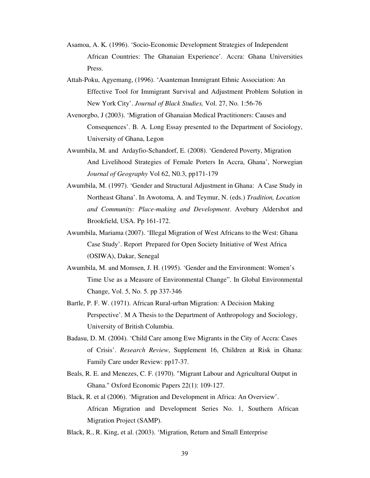- Asamoa, A. K. (1996). 'Socio-Economic Development Strategies of Independent African Countries: The Ghanaian Experience'. Accra: Ghana Universities Press.
- Attah-Poku, Agyemang, (1996). 'Asanteman Immigrant Ethnic Association: An Effective Tool for Immigrant Survival and Adjustment Problem Solution in New York City'. *Journal of Black Studies,* Vol. 27, No. 1:56-76
- Avenorgbo, J (2003). 'Migration of Ghanaian Medical Practitioners: Causes and Consequences'. B. A. Long Essay presented to the Department of Sociology, University of Ghana, Legon
- Awumbila, M. and Ardayfio-Schandorf, E. (2008). 'Gendered Poverty, Migration And Livelihood Strategies of Female Porters In Accra, Ghana', Norwegian *Journal of Geography* Vol 62, N0.3, pp171-179
- Awumbila, M. (1997). 'Gender and Structural Adjustment in Ghana: A Case Study in Northeast Ghana'. In Awotoma, A. and Teymur, N. (eds.) *Tradition, Location and Community: Place-making and Development*. Avebury Aldershot and Brookfield, USA. Pp 161-172.
- Awumbila, Mariama (2007). 'Illegal Migration of West Africans to the West: Ghana Case Study'. Report Prepared for Open Society Initiative of West Africa (OSIWA), Dakar, Senegal
- Awumbila, M. and Momsen, J. H. (1995). 'Gender and the Environment: Women's Time Use as a Measure of Environmental Change". In Global Environmental Change, Vol. 5, No. 5. pp 337-346
- Bartle, P. F. W. (1971). African Rural-urban Migration: A Decision Making Perspective'. M A Thesis to the Department of Anthropology and Sociology, University of British Columbia.
- Badasu, D. M. (2004). 'Child Care among Ewe Migrants in the City of Accra: Cases of Crisis'. *Research Review*, Supplement 16, Children at Risk in Ghana: Family Care under Review: pp17-37.
- Beals, R. E. and Menezes, C. F. (1970). "Migrant Labour and Agricultural Output in Ghana." Oxford Economic Papers 22(1): 109-127.
- Black, R. et al (2006). 'Migration and Development in Africa: An Overview'. African Migration and Development Series No. 1, Southern African Migration Project (SAMP).
- Black, R., R. King, et al. (2003). 'Migration, Return and Small Enterprise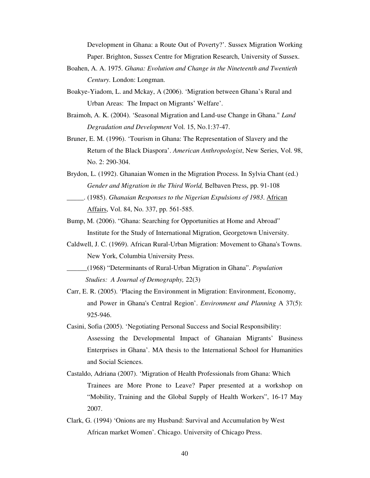Development in Ghana: a Route Out of Poverty?'. Sussex Migration Working Paper. Brighton, Sussex Centre for Migration Research, University of Sussex.

- Boahen, A. A. 1975. *Ghana: Evolution and Change in the Nineteenth and Twentieth Century.* London: Longman.
- Boakye-Yiadom, L. and Mckay, A (2006). 'Migration between Ghana's Rural and Urban Areas: The Impact on Migrants' Welfare'.
- Braimoh, A. K. (2004). 'Seasonal Migration and Land-use Change in Ghana." *Land Degradation and Development* Vol. 15, No.1:37-47.
- Bruner, E. M. (1996). 'Tourism in Ghana: The Representation of Slavery and the Return of the Black Diaspora'. *American Anthropologist*, New Series, Vol. 98, No. 2: 290-304.
- Brydon, L. (1992). Ghanaian Women in the Migration Process. In Sylvia Chant (ed.) *Gender and Migration in the Third World,* Belbaven Press, pp. 91-108
- \_\_\_\_\_. (1985). *Ghanaian Responses to the Nigerian Expulsions of 1983*. African Affairs, Vol. 84, No. 337, pp. 561-585.
- Bump, M. (2006). "Ghana: Searching for Opportunities at Home and Abroad" Institute for the Study of International Migration, Georgetown University.
- Caldwell, J. C. (1969). African Rural-Urban Migration: Movement to Ghana's Towns. New York, Columbia University Press.
- \_\_\_\_\_\_(1968) "Determinants of Rural-Urban Migration in Ghana". *Population Studies: A Journal of Demography,* 22(3)
- Carr, E. R. (2005). 'Placing the Environment in Migration: Environment, Economy, and Power in Ghana's Central Region'. *Environment and Planning* A 37(5): 925-946.
- Casini, Sofia (2005). 'Negotiating Personal Success and Social Responsibility: Assessing the Developmental Impact of Ghanaian Migrants' Business Enterprises in Ghana'. MA thesis to the International School for Humanities and Social Sciences.
- Castaldo, Adriana (2007). 'Migration of Health Professionals from Ghana: Which Trainees are More Prone to Leave? Paper presented at a workshop on "Mobility, Training and the Global Supply of Health Workers", 16-17 May 2007.
- Clark, G. (1994) 'Onions are my Husband: Survival and Accumulation by West African market Women'. Chicago. University of Chicago Press.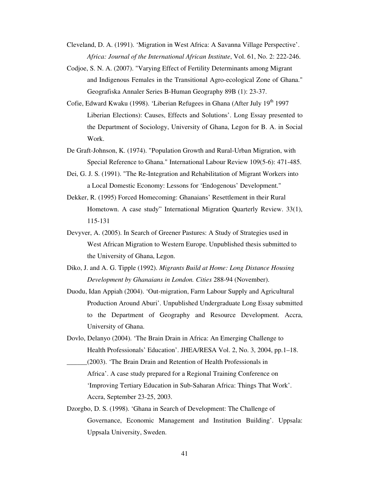Cleveland, D. A. (1991). 'Migration in West Africa: A Savanna Village Perspective'. *Africa: Journal of the International African Institute*, Vol. 61, No. 2: 222-246.

- Codjoe, S. N. A. (2007). "Varying Effect of Fertility Determinants among Migrant and Indigenous Females in the Transitional Agro-ecological Zone of Ghana." Geografiska Annaler Series B-Human Geography 89B (1): 23-37.
- Cofie, Edward Kwaku (1998). 'Liberian Refugees in Ghana (After July 19<sup>th</sup> 1997 Liberian Elections): Causes, Effects and Solutions'. Long Essay presented to the Department of Sociology, University of Ghana, Legon for B. A. in Social Work.
- De Graft-Johnson, K. (1974). "Population Growth and Rural-Urban Migration, with Special Reference to Ghana." International Labour Review 109(5-6): 471-485.
- Dei, G. J. S. (1991). "The Re-Integration and Rehabilitation of Migrant Workers into a Local Domestic Economy: Lessons for 'Endogenous' Development."
- Dekker, R. (1995) Forced Homecoming: Ghanaians' Resettlement in their Rural Hometown. A case study" International Migration Quarterly Review. 33(1), 115-131
- Devyver, A. (2005). In Search of Greener Pastures: A Study of Strategies used in West African Migration to Western Europe. Unpublished thesis submitted to the University of Ghana, Legon.
- Diko, J. and A. G. Tipple (1992). *Migrants Build at Home: Long Distance Housing Development by Ghanaians in London. Cities* 288-94 (November).
- Duodu, Idan Appiah (2004). 'Out-migration, Farm Labour Supply and Agricultural Production Around Aburi'. Unpublished Undergraduate Long Essay submitted to the Department of Geography and Resource Development. Accra, University of Ghana.
- Dovlo, Delanyo (2004). 'The Brain Drain in Africa: An Emerging Challenge to Health Professionals' Education'. JHEA/RESA Vol. 2, No. 3, 2004, pp.1–18.
- \_\_\_\_\_\_(2003). 'The Brain Drain and Retention of Health Professionals in Africa'. A case study prepared for a Regional Training Conference on 'Improving Tertiary Education in Sub-Saharan Africa: Things That Work'. Accra, September 23-25, 2003.
- Dzorgbo, D. S. (1998). 'Ghana in Search of Development: The Challenge of Governance, Economic Management and Institution Building'. Uppsala: Uppsala University, Sweden.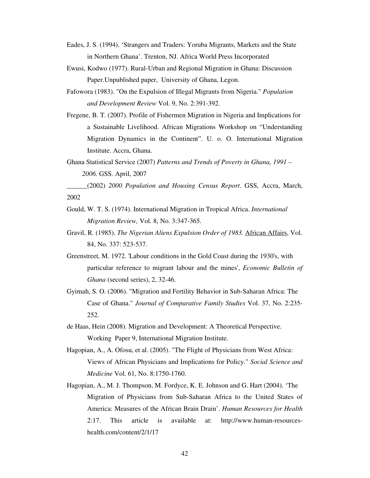- Eades, J. S. (1994). 'Strangers and Traders: Yoruba Migrants, Markets and the State in Northern Ghana'. Trenton, NJ. Africa World Press Incorporated
- Ewusi, Kodwo (1977). Rural-Urban and Regional Migration in Ghana: Discussion Paper.Unpublished paper, University of Ghana, Legon.
- Fafowora (1983). "On the Expulsion of Illegal Migrants from Nigeria." *Population and Development Review* Vol. 9, No. 2:391-392.
- Fregene, B. T. (2007). Profile of Fishermen Migration in Nigeria and Implications for a Sustainable Livelihood. African Migrations Workshop on "Understanding Migration Dynamics in the Continent". U. o. O. International Migration Institute. Accra, Ghana.
- Ghana Statistical Service (2007) *Patterns and Trends of Poverty in Ghana, 1991 – 2006.* GSS. April, 2007

\_\_\_\_\_\_(2002) *2000 Population and Housing Census Report*. GSS, Accra, March, 2002

- Gould, W. T. S. (1974). International Migration in Tropical Africa. *International Migration Review,* Vol. 8, No. 3:347-365.
- Gravil, R. (1985). *The Nigerian Aliens Expulsion Order of 1983.* African Affairs, Vol. 84, No. 337: 523-537.
- Greenstreet, M. 1972. 'Labour conditions in the Gold Coast during the 1930's, with particular reference to migrant labour and the mines', *Economic Bulletin of Ghana* (second series), 2, 32-46.
- Gyimah, S. O. (2006). "Migration and Fertility Behavior in Sub-Saharan Africa: The Case of Ghana." *Journal of Comparative Family Studies* Vol. 37, No. 2:235- 252.
- de Haas, Hein (2008). Migration and Development: A Theoretical Perspective. Working Paper 9, International Migration Institute.
- Hagopian, A., A. Ofosu, et al. (2005). "The Flight of Physicians from West Africa: Views of African Physicians and Implications for Policy." *Social Science and Medicine* Vol. 61, No. 8:1750-1760.
- Hagopian, A., M. J. Thompson, M. Fordyce, K. E. Johnson and G. Hart (2004). 'The Migration of Physicians from Sub-Saharan Africa to the United States of America: Measures of the African Brain Drain'. *Human Resources for Health* 2:17. This article is available at: http://www.human-resourceshealth.com/content/2/1/17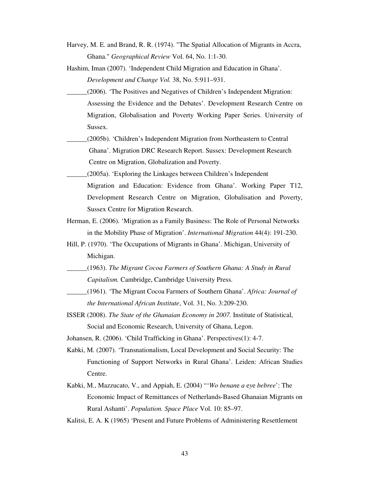- Harvey, M. E. and Brand, R. R. (1974). "The Spatial Allocation of Migrants in Accra, Ghana." *Geographical Review* Vol. 64, No. 1:1-30.
- Hashim, Iman (2007). 'Independent Child Migration and Education in Ghana'. *Development and Change Vol.* 38, No. 5:911–931.
- \_\_\_\_\_\_(2006). 'The Positives and Negatives of Children's Independent Migration: Assessing the Evidence and the Debates'. Development Research Centre on Migration, Globalisation and Poverty Working Paper Series. University of Sussex.
- \_\_\_\_\_\_(2005b). 'Children's Independent Migration from Northeastern to Central Ghana'. Migration DRC Research Report. Sussex: Development Research Centre on Migration, Globalization and Poverty.
- \_\_\_\_\_\_(2005a). 'Exploring the Linkages between Children's Independent Migration and Education: Evidence from Ghana'. Working Paper T12, Development Research Centre on Migration, Globalisation and Poverty, Sussex Centre for Migration Research.
- Herman, E. (2006). 'Migration as a Family Business: The Role of Personal Networks in the Mobility Phase of Migration'. *International Migration* 44(4): 191-230.
- Hill, P. (1970). 'The Occupations of Migrants in Ghana'. Michigan, University of Michigan.
- \_\_\_\_\_\_(1963). *The Migrant Cocoa Farmers of Southern Ghana: A Study in Rural Capitalism.* Cambridge, Cambridge University Press.
- \_\_\_\_\_\_(1961). 'The Migrant Cocoa Farmers of Southern Ghana'. *Africa: Journal of the International African Institute*, Vol. 31, No. 3:209-230.
- ISSER (2008). *The State of the Ghanaian Economy in 2007.* Institute of Statistical, Social and Economic Research, University of Ghana, Legon.

Johansen, R. (2006). 'Child Trafficking in Ghana'. Perspectives(1): 4-7.

- Kabki, M. (2007). 'Transnationalism, Local Development and Social Security: The Functioning of Support Networks in Rural Ghana'. Leiden: African Studies Centre.
- Kabki, M., Mazzucato, V., and Appiah, E. (2004) "'*Wo benan*e *a* e*y*e *bebree*': The Economic Impact of Remittances of Netherlands-Based Ghanaian Migrants on Rural Ashanti'. *Population. Space Place* Vol. 10: 85–97.
- Kalitsi, E. A. K (1965) 'Present and Future Problems of Administering Resettlement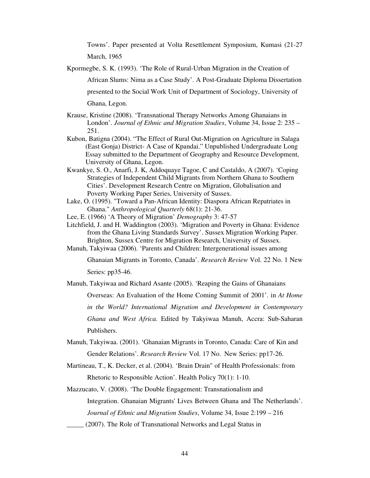Towns'. Paper presented at Volta Resettlement Symposium, Kumasi (21-27 March, 1965

Kpormegbe, S. K. (1993). 'The Role of Rural-Urban Migration in the Creation of African Slums: Nima as a Case Study'. A Post-Graduate Diploma Dissertation presented to the Social Work Unit of Department of Sociology, University of Ghana, Legon.

- Krause, Kristine (2008). 'Transnational Therapy Networks Among Ghanaians in London'. *Journal of Ethnic and Migration Studies*, Volume 34, Issue 2: 235 – 251.
- Kubon, Batigna (2004). "The Effect of Rural Out-Migration on Agriculture in Salaga (East Gonja) District- A Case of Kpandai." Unpublished Undergraduate Long Essay submitted to the Department of Geography and Resource Development, University of Ghana, Legon.
- Kwankye, S. O., Anarfi, J. K, Addoquaye Tagoe, C and Castaldo, A (2007). 'Coping Strategies of Independent Child Migrants from Northern Ghana to Southern Cities'. Development Research Centre on Migration, Globalisation and Poverty Working Paper Series, University of Sussex.
- Lake, O. (1995). "Toward a Pan-African Identity: Diaspora African Repatriates in Ghana." *Anthropological Quarterly* 68(1): 21-36.
- Lee, E. (1966) 'A Theory of Migration' *Demography* 3: 47-57
- Litchfield, J. and H. Waddington (2003). 'Migration and Poverty in Ghana: Evidence from the Ghana Living Standards Survey'. Sussex Migration Working Paper. Brighton, Sussex Centre for Migration Research, University of Sussex.
- Manuh, Takyiwaa (2006). 'Parents and Children: Intergenerational issues among

Ghanaian Migrants in Toronto, Canada'. *Research Review* Vol. 22 No. 1 New Series: pp35-46.

Manuh, Takyiwaa and Richard Asante (2005). 'Reaping the Gains of Ghanaians

Overseas: An Evaluation of the Home Coming Summit of 2001'. in *At Home in the World? International Migration and Development in Contemporary Ghana and West Africa.* Edited by Takyiwaa Manuh, Accra: Sub-Saharan Publishers.

- Manuh, Takyiwaa. (2001). 'Ghanaian Migrants in Toronto, Canada: Care of Kin and Gender Relations'. *Research Review* Vol. 17 No. New Series: pp17-26.
- Martineau, T., K. Decker, et al. (2004). 'Brain Drain" of Health Professionals: from Rhetoric to Responsible Action'. Health Policy 70(1): 1-10.
- Mazzucato, V. (2008). 'The Double Engagement: Transnationalism and Integration. Ghanaian Migrants'Lives Between Ghana and The Netherlands'. *Journal of Ethnic and Migration Studies*, Volume 34, Issue 2:199 – 216
- (2007). The Role of Transnational Networks and Legal Status in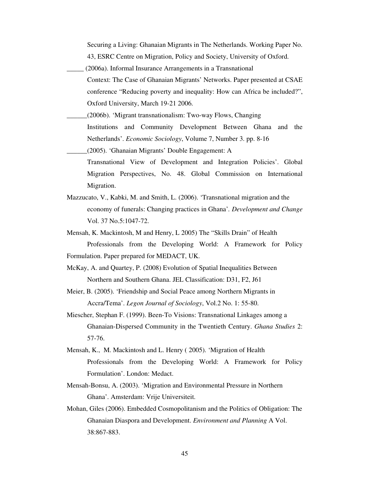Securing a Living: Ghanaian Migrants in The Netherlands. Working Paper No. 43, ESRC Centre on Migration, Policy and Society, University of Oxford.

- \_\_\_\_\_ (2006a). Informal Insurance Arrangements in a Transnational Context: The Case of Ghanaian Migrants' Networks. Paper presented at CSAE conference "Reducing poverty and inequality: How can Africa be included?", Oxford University, March 19-21 2006.
- \_\_\_\_\_\_(2006b). 'Migrant transnationalism: Two-way Flows, Changing Institutions and Community Development Between Ghana and the Netherlands'. *Economic Sociology*, Volume 7, Number 3. pp. 8-16 \_\_\_\_\_\_(2005). 'Ghanaian Migrants' Double Engagement: A

Transnational View of Development and Integration Policies'. Global Migration Perspectives, No. 48. Global Commission on International Migration.

- Mazzucato, V., Kabki, M. and Smith, L. (2006). 'Transnational migration and the economy of funerals: Changing practices in Ghana'*. Development and Change* Vol. 37 No.5:1047-72.
- Mensah, K. Mackintosh, M and Henry, L 2005) The "Skills Drain" of Health Professionals from the Developing World: A Framework for Policy
- Formulation. Paper prepared for MEDACT, UK.
- McKay, A. and Quartey, P. (2008) Evolution of Spatial Inequalities Between Northern and Southern Ghana. JEL Classification: D31, F2, J61
- Meier, B. (2005). 'Friendship and Social Peace among Northern Migrants in Accra/Tema'. *Legon Journal of Sociology*, Vol.2 No. 1: 55-80.
- Miescher, Stephan F. (1999). Been-To Visions: Transnational Linkages among a Ghanaian-Dispersed Community in the Twentieth Century. *Ghana Studies* 2: 57-76.
- Mensah, K., M. Mackintosh and L. Henry ( 2005). 'Migration of Health Professionals from the Developing World: A Framework for Policy Formulation'. London: Medact.
- Mensah-Bonsu, A. (2003). 'Migration and Environmental Pressure in Northern Ghana'. Amsterdam: Vrije Universiteit.
- Mohan, Giles (2006). Embedded Cosmopolitanism and the Politics of Obligation: The Ghanaian Diaspora and Development. *Environment and Planning* A Vol. 38:867-883.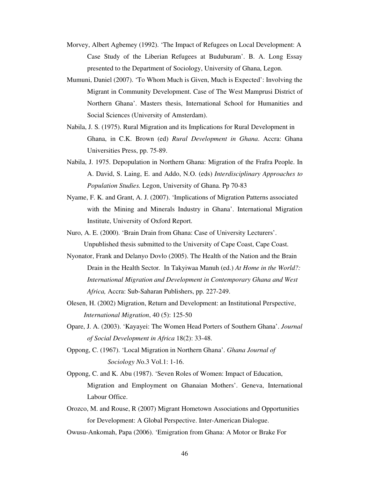- Morvey, Albert Agbemey (1992). 'The Impact of Refugees on Local Development: A Case Study of the Liberian Refugees at Buduburam'. B. A. Long Essay presented to the Department of Sociology, University of Ghana, Legon.
- Mumuni, Daniel (2007). 'To Whom Much is Given, Much is Expected': Involving the Migrant in Community Development. Case of The West Mamprusi District of Northern Ghana'. Masters thesis, International School for Humanities and Social Sciences (University of Amsterdam).
- Nabila, J. S. (1975). Rural Migration and its Implications for Rural Development in Ghana, in C.K. Brown (ed) *Rural Development in Ghana*. Accra: Ghana Universities Press, pp. 75-89.
- Nabila, J. 1975. Depopulation in Northern Ghana: Migration of the Frafra People. In A. David, S. Laing, E. and Addo, N.O. (eds) *Interdisciplinary Approaches to Population Studies.* Legon, University of Ghana. Pp 70-83
- Nyame, F. K. and Grant, A. J. (2007). 'Implications of Migration Patterns associated with the Mining and Minerals Industry in Ghana'. International Migration Institute, University of Oxford Report.
- Nuro, A. E. (2000). 'Brain Drain from Ghana: Case of University Lecturers'. Unpublished thesis submitted to the University of Cape Coast, Cape Coast.
- Nyonator, Frank and Delanyo Dovlo (2005). The Health of the Nation and the Brain Drain in the Health Sector*.* In Takyiwaa Manuh (ed.) *At Home in the World?: International Migration and Development in Contemporary Ghana and West Africa,* Accra: Sub-Saharan Publishers, pp. 227-249.
- Olesen, H. (2002) Migration, Return and Development: an Institutional Perspective, *International Migration*, 40 (5): 125-50
- Opare, J. A. (2003). 'Kayayei: The Women Head Porters of Southern Ghana'. *Journal of Social Development in Africa* 18(2): 33-48.
- Oppong, C. (1967). 'Local Migration in Northern Ghana'. *Ghana Journal of Sociology N*o.3 Vol.1: 1-16.
- Oppong, C. and K. Abu (1987). 'Seven Roles of Women: Impact of Education, Migration and Employment on Ghanaian Mothers'. Geneva, International Labour Office.
- Orozco, M. and Rouse, R (2007) Migrant Hometown Associations and Opportunities for Development: A Global Perspective. Inter-American Dialogue.
- Owusu-Ankomah, Papa (2006). 'Emigration from Ghana: A Motor or Brake For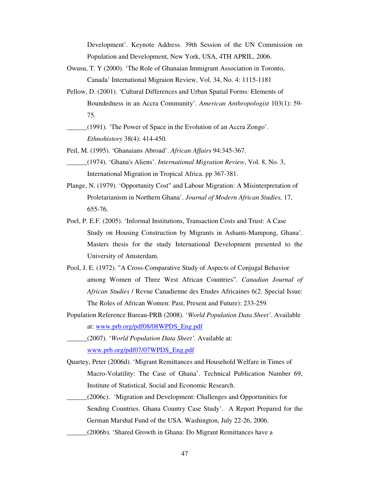Development'. Keynote Address. 39th Session of the UN Commission on Population and Development, New York, USA, 4TH APRIL, 2006.

- Owusu, T. Y (2000). 'The Role of Ghanaian Immigrant Association in Toronto, Canada' International Migraion Review, Vol. 34, No. 4: 1115-1181
- Pellow, D. (2001). 'Cultural Differences and Urban Spatial Forms: Elements of Boundedness in an Accra Community'. *American Anthropologist* 103(1): 59- 75.

\_\_\_\_\_\_(1991). 'The Power of Space in the Evolution of an Accra Zongo'. *Ethnohistory* 38(4): 414-450.

- Peil, M. (1995). 'Ghanaians Abroad'. *African Affairs* 94:345-367.
	- \_\_\_\_\_\_(1974). 'Ghana's Aliens'. *International Migration Review*, Vol. 8, No. 3, International Migration in Tropical Africa. pp 367-381.
- Plange, N. (1979). 'Opportunity Cost" and Labour Migration: A Misinterpretation of Proletarianism in Northern Ghana'. *Journal of Modern African Studies,* 17, 655-76.
- Poel, P. E.F. (2005). 'Informal Institutions, Transaction Costs and Trust: A Case Study on Housing Construction by Migrants in Ashanti-Mampong, Ghana'. Masters thesis for the study International Development presented to the University of Amsterdam.
- Pool, J. E. (1972). "A Cross-Comparative Study of Aspects of Conjugal Behavior among Women of Three West African Countries". *Canadian Journal of African Studies* / Revue Canadienne des Etudes Africaines 6(2. Special Issue: The Roles of African Women: Past, Present and Future): 233-259.
- Population Reference Bureau-PRB (2008). '*World Population Data Sheet'*. Available at: www.prb.org/pdf08/08WPDS\_Eng.pdf
- \_\_\_\_\_\_(2007). '*World Population Data Sheet'*. Available at: www.prb.org/pdf07/07WPDS\_Eng.pdf
- Quartey, Peter (2006d). 'Migrant Remittances and Household Welfare in Times of Macro-Volatility: The Case of Ghana'. Technical Publication Number 69, Institute of Statistical, Social and Economic Research.
- \_\_\_\_\_\_(2006c). 'Migration and Development: Challenges and Opportunities for Sending Countries. Ghana Country Case Study'. A Report Prepared for the German Marshal Fund of the USA. Washington, July 22-26, 2006.
	- \_\_\_\_\_\_(2006b). 'Shared Growth in Ghana: Do Migrant Remittances have a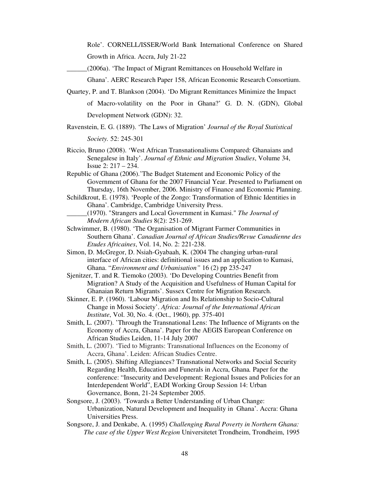Role'. CORNELL/ISSER/World Bank International Conference on Shared Growth in Africa. Accra, July 21-22

\_\_\_\_\_\_(2006a). 'The Impact of Migrant Remittances on Household Welfare in

Ghana'. AERC Research Paper 158, African Economic Research Consortium.

- Quartey, P. and T. Blankson (2004). 'Do Migrant Remittances Minimize the Impact of Macro-volatility on the Poor in Ghana?' G. D. N. (GDN), Global Development Network (GDN): 32.
- Ravenstein, E. G. (1889). 'The Laws of Migration' *Journal of the Royal Statistical*

*Society.* 52: 245-301

Riccio, Bruno (2008). 'West African Transnationalisms Compared: Ghanaians and Senegalese in Italy'. *Journal of Ethnic and Migration Studies*, Volume 34, Issue 2: 217 – 234.

Republic of Ghana (2006).'The Budget Statement and Economic Policy of the Government of Ghana for the 2007 Financial Year. Presented to Parliament on Thursday, 16th November, 2006. Ministry of Finance and Economic Planning.

Schildkrout, E. (1978). 'People of the Zongo: Transformation of Ethnic Identities in Ghana'. Cambridge, Cambridge University Press.

- \_\_\_\_\_\_(1970). "Strangers and Local Government in Kumasi." *The Journal of Modern African Studies* 8(2): 251-269.
- Schwimmer, B. (1980). 'The Organisation of Migrant Farmer Communities in Southern Ghana'. *Canadian Journal of African Studies/Revue Canadienne des Etudes Africaines*, Vol. 14, No. 2: 221-238.
- Simon, D. McGregor, D. Nsiah-Gyabaah, K. (2004 The changing urban-rural interface of African cities: definitional issues and an application to Kumasi, Ghana. "*Environment and Urbanisation"* 16 (2) pp 235-247

Sjenitzer, T. and R. Tiemoko (2003). 'Do Developing Countries Benefit from Migration? A Study of the Acquisition and Usefulness of Human Capital for Ghanaian Return Migrants'. Sussex Centre for Migration Research.

- Skinner, E. P. (1960). 'Labour Migration and Its Relationship to Socio-Cultural Change in Mossi Society'. *Africa: Journal of the International African Institute*, Vol. 30, No. 4. (Oct., 1960), pp. 375-401
- Smith, L. (2007). 'Through the Transnational Lens: The Influence of Migrants on the Economy of Accra, Ghana'. Paper for the AEGIS European Conference on African Studies Leiden, 11-14 July 2007
- Smith, L. (2007). 'Tied to Migrants: Transnational Influences on the Economy of Accra, Ghana'. Leiden: African Studies Centre.
- Smith, L. (2005). Shifting Allegiances? Transnational Networks and Social Security Regarding Health, Education and Funerals in Accra, Ghana*.* Paper for the conference: "Insecurity and Development: Regional Issues and Policies for an Interdependent World", EADI Working Group Session 14: Urban Governance, Bonn, 21-24 September 2005.
- Songsore, J. (2003). 'Towards a Better Understanding of Urban Change: Urbanization, Natural Development and Inequality in Ghana'. Accra: Ghana Universities Press.
- Songsore, J. and Denkabe, A. (1995) *Challenging Rural Poverty in Northern Ghana: The case of the Upper West Region* Universitetet Trondheim, Trondheim, 1995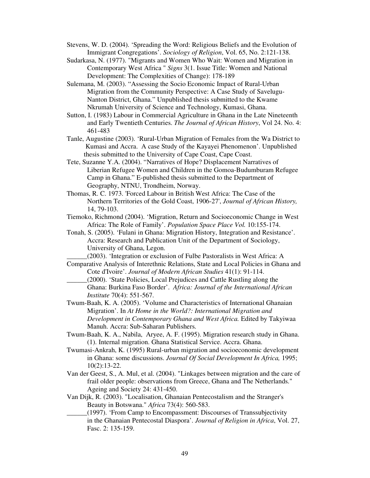Stevens, W. D. (2004). 'Spreading the Word: Religious Beliefs and the Evolution of Immigrant Congregations'. *Sociology of Religion*, Vol. 65, No. 2:121-138.

- Sudarkasa, N. (1977). "Migrants and Women Who Wait: Women and Migration in Contemporary West Africa " *Signs* 3(1. Issue Title: Women and National Development: The Complexities of Change): 178-189
- Sulemana, M. (2003). "Assessing the Socio Economic Impact of Rural-Urban Migration from the Community Perspective: A Case Study of Savelugu-Nanton District, Ghana." Unpublished thesis submitted to the Kwame Nkrumah University of Science and Technology, Kumasi, Ghana.
- Sutton, I. (1983) Labour in Commercial Agriculture in Ghana in the Late Nineteenth and Early Twentieth Centuries. *The Journal of African History*, Vol 24. No. 4: 461-483
- Tanle, Augustine (2003). 'Rural-Urban Migration of Females from the Wa District to Kumasi and Accra. A case Study of the Kayayei Phenomenon'. Unpublished thesis submitted to the University of Cape Coast, Cape Coast.
- Tete, Suzanne Y.A. (2004). "Narratives of Hope? Displacement Narratives of Liberian Refugee Women and Children in the Gomoa-Budumburam Refugee Camp in Ghana." E-published thesis submitted to the Department of Geography, NTNU, Trondheim, Norway.
- Thomas, R. C. 1973. 'Forced Labour in British West Africa: The Case of the Northern Territories of the Gold Coast, 1906-27', *Journal of African History,* 14, 79-103.
- Tiemoko, Richmond (2004). 'Migration, Return and Socioeconomic Change in West Africa: The Role of Family'. *Population Space Place Vol.* 10:155-174.
- Tonah, S. (2005). 'Fulani in Ghana: Migration History, Integration and Resistance'. Accra: Research and Publication Unit of the Department of Sociology, University of Ghana, Legon.

\_\_\_\_\_\_(2003). 'Integration or exclusion of Fulbe Pastoralists in West Africa: A

- Comparative Analysis of Interethnic Relations, State and Local Policies in Ghana and Cote d'Ivoire'. *Journal of Modern African Studies* 41(1): 91-114.
- \_\_\_\_\_\_(2000). 'State Policies, Local Prejudices and Cattle Rustling along the Ghana: Burkina Faso Border'. *Africa: Journal of the International African Institute* 70(4): 551-567.
- Twum-Baah, K. A. (2005). 'Volume and Characteristics of International Ghanaian Migration'. In *At Home in the World?: International Migration and Development in Contemporary Ghana and West Africa.* Edited by Takyiwaa Manuh. Accra: Sub-Saharan Publishers.
- Twum-Baah, K. A., Nabila, Aryee, A. F. (1995). Migration research study in Ghana. (1). Internal migration. Ghana Statistical Service. Accra. Ghana.
- Twumasi-Ankrah, K. (1995) Rural-urban migration and socioeconomic development in Ghana: some discussions. *Journal Of Social Development In Africa,* 1995; 10(2):13-22.
- Van der Geest, S., A. Mul, et al. (2004). "Linkages between migration and the care of frail older people: observations from Greece, Ghana and The Netherlands." Ageing and Society 24: 431-450.
- Van Dijk, R. (2003). "Localisation, Ghanaian Pentecostalism and the Stranger's Beauty in Botswana." *Africa* 73(4): 560-583.
	- \_\_\_\_\_\_(1997). 'From Camp to Encompassment: Discourses of Transsubjectivity in the Ghanaian Pentecostal Diaspora'. *Journal of Religion in Africa*, Vol. 27, Fasc. 2: 135-159.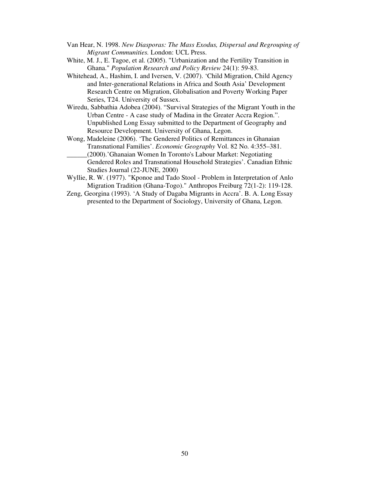- Van Hear, N. 1998. *New Diasporas: The Mass Exodus, Dispersal and Regrouping of Migrant Communities.* London: UCL Press.
- White, M. J., E. Tagoe, et al. (2005). "Urbanization and the Fertility Transition in Ghana." *Population Research and Policy Review* 24(1): 59-83.
- Whitehead, A., Hashim, I. and Iversen, V. (2007). 'Child Migration, Child Agency and Inter-generational Relations in Africa and South Asia' Development Research Centre on Migration, Globalisation and Poverty Working Paper Series, T24. University of Sussex.
- Wiredu, Sabbathia Adobea (2004). "Survival Strategies of the Migrant Youth in the Urban Centre - A case study of Madina in the Greater Accra Region.". Unpublished Long Essay submitted to the Department of Geography and Resource Development. University of Ghana, Legon.
- Wong, Madeleine (2006). 'The Gendered Politics of Remittances in Ghanaian Transnational Families'. *Economic Geography* Vol. 82 No. 4:355–381.
	- \_\_\_\_\_\_(2000).'Ghanaian Women In Toronto's Labour Market: Negotiating Gendered Roles and Transnational Household Strategies'. Canadian Ethnic Studies Journal (22-JUNE, 2000)
- Wyllie, R. W. (1977). "Kponoe and Tado Stool Problem in Interpretation of Anlo Migration Tradition (Ghana-Togo)." Anthropos Freiburg 72(1-2): 119-128.
- Zeng, Georgina (1993). 'A Study of Dagaba Migrants in Accra'. B. A. Long Essay presented to the Department of Sociology, University of Ghana, Legon.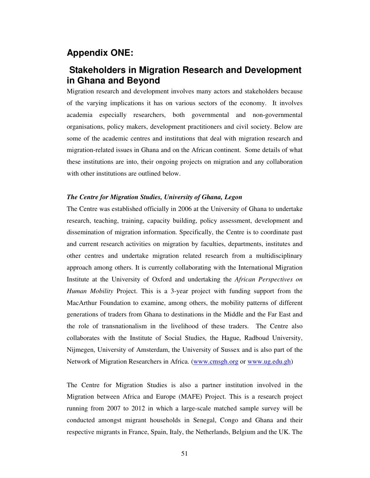### **Appendix ONE:**

### **Stakeholders in Migration Research and Development in Ghana and Beyond**

Migration research and development involves many actors and stakeholders because of the varying implications it has on various sectors of the economy. It involves academia especially researchers, both governmental and non-governmental organisations, policy makers, development practitioners and civil society. Below are some of the academic centres and institutions that deal with migration research and migration-related issues in Ghana and on the African continent. Some details of what these institutions are into, their ongoing projects on migration and any collaboration with other institutions are outlined below.

#### *The Centre for Migration Studies, University of Ghana, Legon*

The Centre was established officially in 2006 at the University of Ghana to undertake research, teaching, training, capacity building, policy assessment, development and dissemination of migration information. Specifically, the Centre is to coordinate past and current research activities on migration by faculties, departments, institutes and other centres and undertake migration related research from a multidisciplinary approach among others. It is currently collaborating with the International Migration Institute at the University of Oxford and undertaking the *African Perspectives on Human Mobility* Project. This is a 3-year project with funding support from the MacArthur Foundation to examine, among others, the mobility patterns of different generations of traders from Ghana to destinations in the Middle and the Far East and the role of transnationalism in the livelihood of these traders. The Centre also collaborates with the Institute of Social Studies, the Hague, Radboud University, Nijmegen, University of Amsterdam, the University of Sussex and is also part of the Network of Migration Researchers in Africa. (www.cmsgh.org or www.ug.edu.gh)

The Centre for Migration Studies is also a partner institution involved in the Migration between Africa and Europe (MAFE) Project. This is a research project running from 2007 to 2012 in which a large-scale matched sample survey will be conducted amongst migrant households in Senegal, Congo and Ghana and their respective migrants in France, Spain, Italy, the Netherlands, Belgium and the UK. The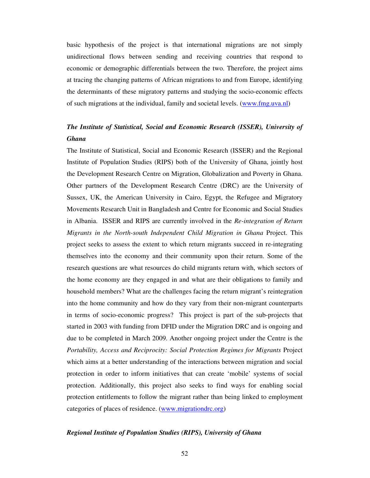basic hypothesis of the project is that international migrations are not simply unidirectional flows between sending and receiving countries that respond to economic or demographic differentials between the two. Therefore, the project aims at tracing the changing patterns of African migrations to and from Europe, identifying the determinants of these migratory patterns and studying the socio-economic effects of such migrations at the individual, family and societal levels. (www.fmg.uva.nl)

### *The Institute of Statistical, Social and Economic Research (ISSER), University of Ghana*

The Institute of Statistical, Social and Economic Research (ISSER) and the Regional Institute of Population Studies (RIPS) both of the University of Ghana, jointly host the Development Research Centre on Migration, Globalization and Poverty in Ghana. Other partners of the Development Research Centre (DRC) are the University of Sussex, UK, the American University in Cairo, Egypt, the Refugee and Migratory Movements Research Unit in Bangladesh and Centre for Economic and Social Studies in Albania. ISSER and RIPS are currently involved in the *Re-integration of Return Migrants in the North-south Independent Child Migration in Ghana* Project. This project seeks to assess the extent to which return migrants succeed in re-integrating themselves into the economy and their community upon their return. Some of the research questions are what resources do child migrants return with, which sectors of the home economy are they engaged in and what are their obligations to family and household members? What are the challenges facing the return migrant's reintegration into the home community and how do they vary from their non-migrant counterparts in terms of socio-economic progress? This project is part of the sub-projects that started in 2003 with funding from DFID under the Migration DRC and is ongoing and due to be completed in March 2009. Another ongoing project under the Centre is the *Portability, Access and Reciprocity: Social Protection Regimes for Migrants* Project which aims at a better understanding of the interactions between migration and social protection in order to inform initiatives that can create 'mobile' systems of social protection. Additionally, this project also seeks to find ways for enabling social protection entitlements to follow the migrant rather than being linked to employment categories of places of residence. (www.migrationdrc.org)

#### *Regional Institute of Population Studies (RIPS), University of Ghana*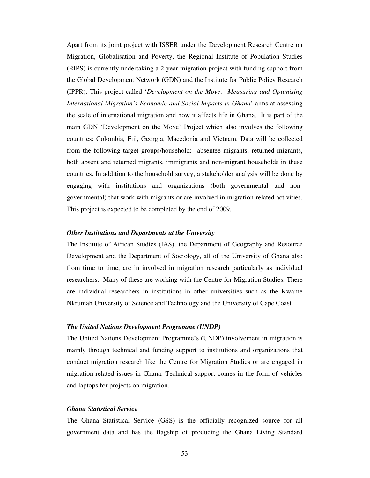Apart from its joint project with ISSER under the Development Research Centre on Migration, Globalisation and Poverty, the Regional Institute of Population Studies (RIPS) is currently undertaking a 2-year migration project with funding support from the Global Development Network (GDN) and the Institute for Public Policy Research (IPPR). This project called '*Development on the Move: Measuring and Optimising International Migration's Economic and Social Impacts in Ghana*' aims at assessing the scale of international migration and how it affects life in Ghana. It is part of the main GDN 'Development on the Move' Project which also involves the following countries: Colombia, Fiji, Georgia, Macedonia and Vietnam. Data will be collected from the following target groups/household: absentee migrants, returned migrants, both absent and returned migrants, immigrants and non-migrant households in these countries. In addition to the household survey, a stakeholder analysis will be done by engaging with institutions and organizations (both governmental and nongovernmental) that work with migrants or are involved in migration-related activities. This project is expected to be completed by the end of 2009.

#### *Other Institutions and Departments at the University*

The Institute of African Studies (IAS), the Department of Geography and Resource Development and the Department of Sociology, all of the University of Ghana also from time to time, are in involved in migration research particularly as individual researchers. Many of these are working with the Centre for Migration Studies. There are individual researchers in institutions in other universities such as the Kwame Nkrumah University of Science and Technology and the University of Cape Coast.

#### *The United Nations Development Programme (UNDP)*

The United Nations Development Programme's (UNDP) involvement in migration is mainly through technical and funding support to institutions and organizations that conduct migration research like the Centre for Migration Studies or are engaged in migration-related issues in Ghana. Technical support comes in the form of vehicles and laptops for projects on migration.

#### *Ghana Statistical Service*

The Ghana Statistical Service (GSS) is the officially recognized source for all government data and has the flagship of producing the Ghana Living Standard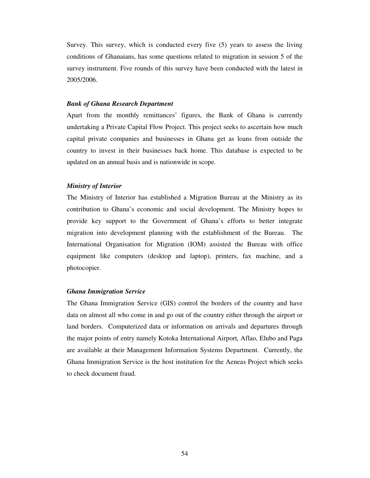Survey. This survey, which is conducted every five (5) years to assess the living conditions of Ghanaians, has some questions related to migration in session 5 of the survey instrument. Five rounds of this survey have been conducted with the latest in 2005/2006.

#### *Bank of Ghana Research Department*

Apart from the monthly remittances' figures, the Bank of Ghana is currently undertaking a Private Capital Flow Project. This project seeks to ascertain how much capital private companies and businesses in Ghana get as loans from outside the country to invest in their businesses back home. This database is expected to be updated on an annual basis and is nationwide in scope.

#### *Ministry of Interior*

The Ministry of Interior has established a Migration Bureau at the Ministry as its contribution to Ghana's economic and social development. The Ministry hopes to provide key support to the Government of Ghana's efforts to better integrate migration into development planning with the establishment of the Bureau. The International Organisation for Migration (IOM) assisted the Bureau with office equipment like computers (desktop and laptop), printers, fax machine, and a photocopier.

#### *Ghana Immigration Service*

The Ghana Immigration Service (GIS) control the borders of the country and have data on almost all who come in and go out of the country either through the airport or land borders. Computerized data or information on arrivals and departures through the major points of entry namely Kotoka International Airport, Aflao, Elubo and Paga are available at their Management Information Systems Department. Currently, the Ghana Immigration Service is the host institution for the Aeneas Project which seeks to check document fraud.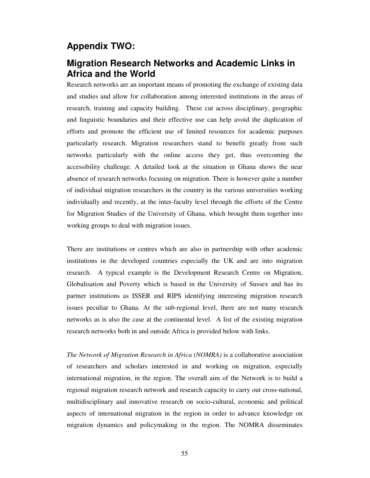### **Appendix TWO:**

### **Migration Research Networks and Academic Links in Africa and the World**

Research networks are an important means of promoting the exchange of existing data and studies and allow for collaboration among interested institutions in the areas of research, training and capacity building. These cut across disciplinary, geographic and linguistic boundaries and their effective use can help avoid the duplication of efforts and promote the efficient use of limited resources for academic purposes particularly research. Migration researchers stand to benefit greatly from such networks particularly with the online access they get, thus overcoming the accessibility challenge. A detailed look at the situation in Ghana shows the near absence of research networks focusing on migration. There is however quite a number of individual migration researchers in the country in the various universities working individually and recently, at the inter-faculty level through the efforts of the Centre for Migration Studies of the University of Ghana, which brought them together into working groups to deal with migration issues.

There are institutions or centres which are also in partnership with other academic institutions in the developed countries especially the UK and are into migration research. A typical example is the Development Research Centre on Migration, Globalisation and Poverty which is based in the University of Sussex and has its partner institutions as ISSER and RIPS identifying interesting migration research issues peculiar to Ghana. At the sub-regional level, there are not many research networks as is also the case at the continental level. A list of the existing migration research networks both in and outside Africa is provided below with links.

*The Network of Migration Research in Africa (NOMRA)* is a collaborative association of researchers and scholars interested in and working on migration, especially international migration, in the region. The overall aim of the Network is to build a regional migration research network and research capacity to carry out cross-national, multidisciplinary and innovative research on socio-cultural, economic and political aspects of international migration in the region in order to advance knowledge on migration dynamics and policymaking in the region. The NOMRA disseminates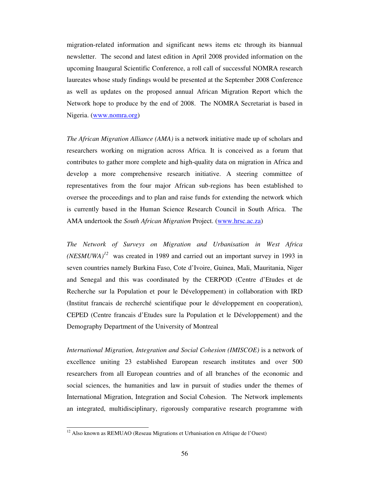migration-related information and significant news items etc through its biannual newsletter. The second and latest edition in April 2008 provided information on the upcoming Inaugural Scientific Conference, a roll call of successful NOMRA research laureates whose study findings would be presented at the September 2008 Conference as well as updates on the proposed annual African Migration Report which the Network hope to produce by the end of 2008. The NOMRA Secretariat is based in Nigeria. (www.nomra.org)

*The African Migration Alliance (AMA)* is a network initiative made up of scholars and researchers working on migration across Africa. It is conceived as a forum that contributes to gather more complete and high-quality data on migration in Africa and develop a more comprehensive research initiative. A steering committee of representatives from the four major African sub-regions has been established to oversee the proceedings and to plan and raise funds for extending the network which is currently based in the Human Science Research Council in South Africa. The AMA undertook the *South African Migration* Project. (www.hrsc.ac.za)

*The Network of Surveys on Migration and Urbanisation in West Africa*  $(NESMUWA)^{12}$  was created in 1989 and carried out an important survey in 1993 in seven countries namely Burkina Faso, Cote d'Ivoire, Guinea, Mali, Mauritania, Niger and Senegal and this was coordinated by the CERPOD (Centre d'Etudes et de Recherche sur la Population et pour le Développement) in collaboration with IRD (Institut francais de recherché scientifique pour le développement en cooperation), CEPED (Centre francais d'Etudes sure la Population et le Développement) and the Demography Department of the University of Montreal

*International Migration, Integration and Social Cohesion (IMISCOE)* is a network of excellence uniting 23 established European research institutes and over 500 researchers from all European countries and of all branches of the economic and social sciences, the humanities and law in pursuit of studies under the themes of International Migration, Integration and Social Cohesion. The Network implements an integrated, multidisciplinary, rigorously comparative research programme with

<sup>&</sup>lt;sup>12</sup> Also known as REMUAO (Reseau Migrations et Urbanisation en Afrique de l'Ouest)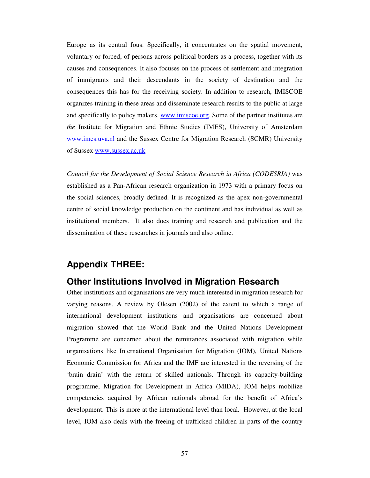Europe as its central fous. Specifically, it concentrates on the spatial movement, voluntary or forced, of persons across political borders as a process, together with its causes and consequences. It also focuses on the process of settlement and integration of immigrants and their descendants in the society of destination and the consequences this has for the receiving society. In addition to research, IMISCOE organizes training in these areas and disseminate research results to the public at large and specifically to policy makers. www.imiscoe.org. Some of the partner institutes are *the* Institute for Migration and Ethnic Studies (IMES), University of Amsterdam www.imes.uva.nl and the Sussex Centre for Migration Research (SCMR) University of Sussex www.sussex.ac.uk

*Council for the Development of Social Science Research in Africa (CODESRIA)* was established as a Pan-African research organization in 1973 with a primary focus on the social sciences, broadly defined. It is recognized as the apex non-governmental centre of social knowledge production on the continent and has individual as well as institutional members. It also does training and research and publication and the dissemination of these researches in journals and also online.

### **Appendix THREE:**

### **Other Institutions Involved in Migration Research**

Other institutions and organisations are very much interested in migration research for varying reasons. A review by Olesen (2002) of the extent to which a range of international development institutions and organisations are concerned about migration showed that the World Bank and the United Nations Development Programme are concerned about the remittances associated with migration while organisations like International Organisation for Migration (IOM), United Nations Economic Commission for Africa and the IMF are interested in the reversing of the 'brain drain' with the return of skilled nationals. Through its capacity-building programme, Migration for Development in Africa (MIDA), IOM helps mobilize competencies acquired by African nationals abroad for the benefit of Africa's development. This is more at the international level than local. However, at the local level, IOM also deals with the freeing of trafficked children in parts of the country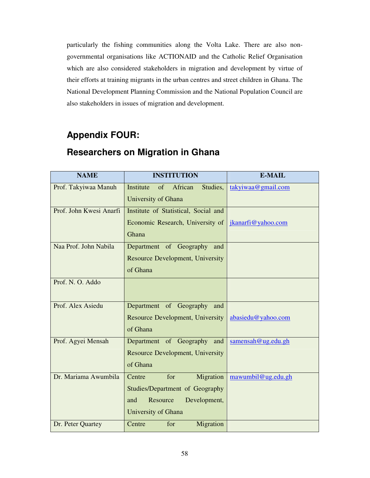particularly the fishing communities along the Volta Lake. There are also nongovernmental organisations like ACTIONAID and the Catholic Relief Organisation which are also considered stakeholders in migration and development by virtue of their efforts at training migrants in the urban centres and street children in Ghana. The National Development Planning Commission and the National Population Council are also stakeholders in issues of migration and development.

# **Appendix FOUR:**

| <b>NAME</b>             | <b>INSTITUTION</b>                      | <b>E-MAIL</b>      |
|-------------------------|-----------------------------------------|--------------------|
| Prof. Takyiwaa Manuh    | Institute<br>of<br>African<br>Studies,  | takyiwaa@gmail.com |
|                         | University of Ghana                     |                    |
| Prof. John Kwesi Anarfi | Institute of Statistical, Social and    |                    |
|                         | Economic Research, University of        | jkanarfi@yahoo.com |
|                         | Ghana                                   |                    |
| Naa Prof. John Nabila   | Department of Geography and             |                    |
|                         | <b>Resource Development, University</b> |                    |
|                         | of Ghana                                |                    |
| Prof. N. O. Addo        |                                         |                    |
|                         |                                         |                    |
| Prof. Alex Asiedu       | Department of Geography<br>and          |                    |
|                         | <b>Resource Development, University</b> | abasiedu@yahoo.com |
|                         | of Ghana                                |                    |
| Prof. Agyei Mensah      | Department of Geography and             | samensah@ug.edu.gh |
|                         | <b>Resource Development, University</b> |                    |
|                         | of Ghana                                |                    |
| Dr. Mariama Awumbila    | for<br>Migration<br>Centre              | mawumbil@ug.edu.gh |
|                         | <b>Studies/Department of Geography</b>  |                    |
|                         | Resource<br>Development,<br>and         |                    |
|                         | University of Ghana                     |                    |
| Dr. Peter Quartey       | for<br>Migration<br>Centre              |                    |

# **Researchers on Migration in Ghana**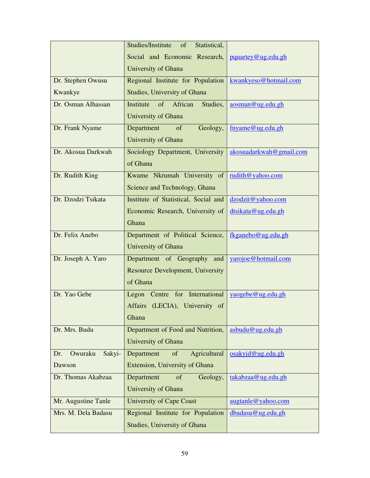|                          | Studies/Institute<br>of<br>Statistical, |                         |  |
|--------------------------|-----------------------------------------|-------------------------|--|
|                          | Social and Economic Research,           | pquartey@ug.edu.gh      |  |
|                          | University of Ghana                     |                         |  |
| Dr. Stephen Owusu        | Regional Institute for Population       | kwankyeso@hotmail.com   |  |
| Kwankye                  | Studies, University of Ghana            |                         |  |
| Dr. Osman Alhassan       | of<br>African<br>Studies,<br>Institute  | aosman@ug.edu.gh        |  |
|                          | University of Ghana                     |                         |  |
| Dr. Frank Nyame          | Department<br>of<br>Geology,            | fnyame@ug.edu.gh        |  |
|                          | University of Ghana                     |                         |  |
| Dr. Akosua Darkwah       | Sociology Department, University        | akosuadarkwah@gmail.com |  |
|                          | of Ghana                                |                         |  |
| Dr. Rudith King          | Kwame Nkrumah University of             | rudith@yahoo.com        |  |
|                          | Science and Technology, Ghana           |                         |  |
| Dr. Dzodzi Tsikata       | Institute of Statistical, Social and    | dzodzit@yahoo.com       |  |
|                          | Economic Research, University of        | dtsikata@ug.edu.gh      |  |
|                          | Ghana                                   |                         |  |
| Dr. Felix Anebo          | Department of Political Science,        | fkganebo@ug.edu.gh      |  |
|                          | University of Ghana                     |                         |  |
| Dr. Joseph A. Yaro       | Department of Geography<br>and          | yarojoe@hotmail.com     |  |
|                          | Resource Development, University        |                         |  |
|                          | of Ghana                                |                         |  |
| Dr. Yao Gebe             | Legon Centre for International          | yaogebe@ug.edu.gh       |  |
|                          | Affairs (LECIA), University of          |                         |  |
|                          | Ghana                                   |                         |  |
| Dr. Mrs. Budu            | Department of Food and Nutrition,       | asbudu@ug.edu.gh        |  |
|                          | University of Ghana                     |                         |  |
| Owuraku<br>Sakyi-<br>Dr. | Agricultural<br>Department<br>of        | osakyid@ug.edu.gh       |  |
| Dawson                   | Extension, University of Ghana          |                         |  |
| Dr. Thomas Akabzaa       | Department<br>of<br>Geology,            | takabzaa@ug.edu.gh      |  |
|                          | University of Ghana                     |                         |  |
| Mr. Augustine Tanle      | <b>University of Cape Coast</b>         | augtanle@yahoo.com      |  |
| Mrs. M. Dela Badasu      | Regional Institute for Population       | dbadasu@ug.edu.gh       |  |
|                          | <b>Studies, University of Ghana</b>     |                         |  |